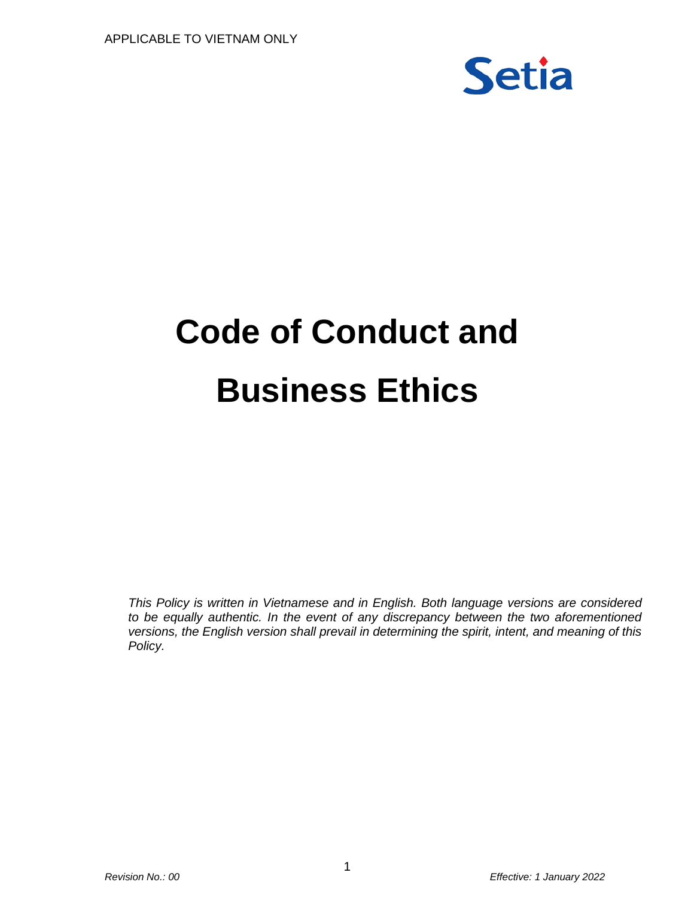

# **Code of Conduct and Business Ethics**

*This Policy is written in Vietnamese and in English. Both language versions are considered to be equally authentic. In the event of any discrepancy between the two aforementioned versions, the English version shall prevail in determining the spirit, intent, and meaning of this Policy.*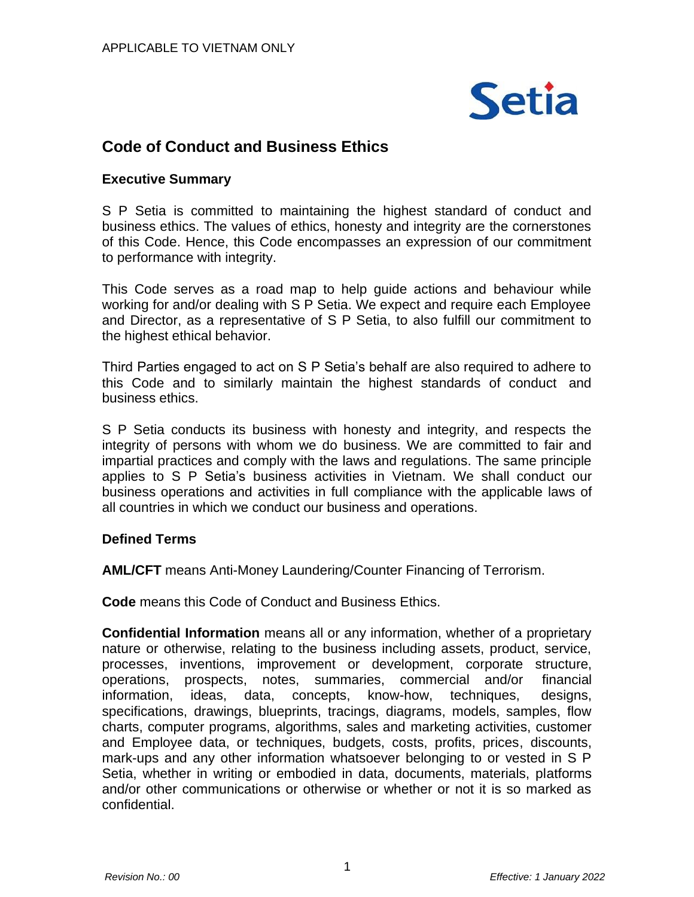

# **Code of Conduct and Business Ethics**

## **Executive Summary**

S P Setia is committed to maintaining the highest standard of conduct and business ethics. The values of ethics, honesty and integrity are the cornerstones of this Code. Hence, this Code encompasses an expression of our commitment to performance with integrity.

This Code serves as a road map to help guide actions and behaviour while working for and/or dealing with S P Setia. We expect and require each Employee and Director, as a representative of S P Setia, to also fulfill our commitment to the highest ethical behavior.

Third Parties engaged to act on S P Setia's behalf are also required to adhere to this Code and to similarly maintain the highest standards of conduct and business ethics.

S P Setia conducts its business with honesty and integrity, and respects the integrity of persons with whom we do business. We are committed to fair and impartial practices and comply with the laws and regulations. The same principle applies to S P Setia's business activities in Vietnam. We shall conduct our business operations and activities in full compliance with the applicable laws of all countries in which we conduct our business and operations.

## **Defined Terms**

**AML/CFT** means Anti-Money Laundering/Counter Financing of Terrorism.

**Code** means this Code of Conduct and Business Ethics.

**Confidential Information** means all or any information, whether of a proprietary nature or otherwise, relating to the business including assets, product, service, processes, inventions, improvement or development, corporate structure, operations, prospects, notes, summaries, commercial and/or financial information, ideas, data, concepts, know-how, techniques, designs, specifications, drawings, blueprints, tracings, diagrams, models, samples, flow charts, computer programs, algorithms, sales and marketing activities, customer and Employee data, or techniques, budgets, costs, profits, prices, discounts, mark-ups and any other information whatsoever belonging to or vested in S P Setia, whether in writing or embodied in data, documents, materials, platforms and/or other communications or otherwise or whether or not it is so marked as confidential.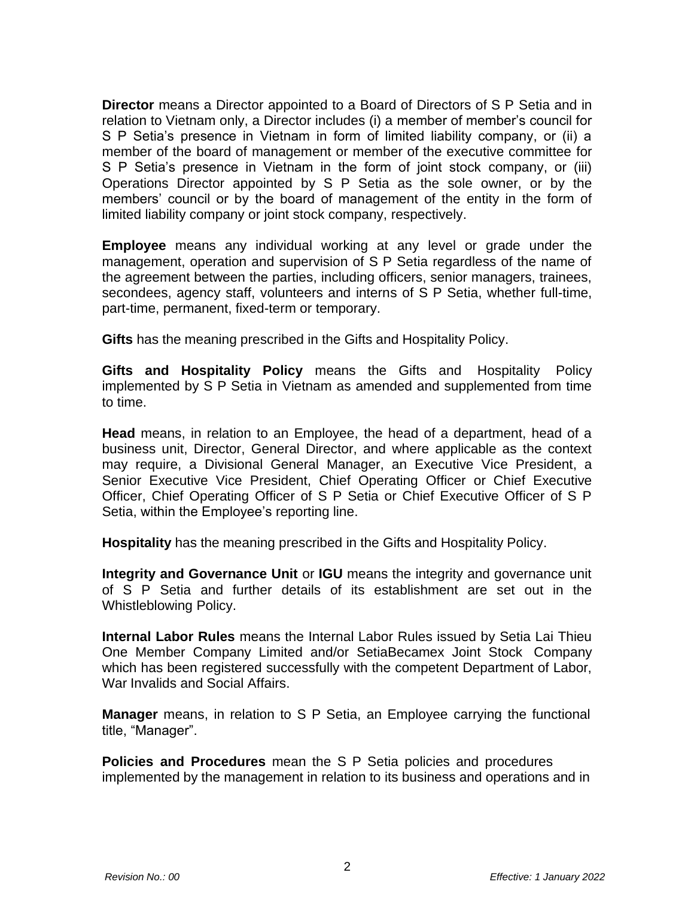**Director** means a Director appointed to a Board of Directors of S P Setia and in relation to Vietnam only, a Director includes (i) a member of member's council for S P Setia's presence in Vietnam in form of limited liability company, or (ii) a member of the board of management or member of the executive committee for S P Setia's presence in Vietnam in the form of joint stock company, or (iii) Operations Director appointed by S P Setia as the sole owner, or by the members' council or by the board of management of the entity in the form of limited liability company or joint stock company, respectively.

**Employee** means any individual working at any level or grade under the management, operation and supervision of S P Setia regardless of the name of the agreement between the parties, including officers, senior managers, trainees, secondees, agency staff, volunteers and interns of S P Setia, whether full-time, part-time, permanent, fixed-term or temporary.

**Gifts** has the meaning prescribed in the Gifts and Hospitality Policy.

**Gifts and Hospitality Policy** means the Gifts and Hospitality Policy implemented by S P Setia in Vietnam as amended and supplemented from time to time.

**Head** means, in relation to an Employee, the head of a department, head of a business unit, Director, General Director, and where applicable as the context may require, a Divisional General Manager, an Executive Vice President, a Senior Executive Vice President, Chief Operating Officer or Chief Executive Officer, Chief Operating Officer of S P Setia or Chief Executive Officer of S P Setia, within the Employee's reporting line.

**Hospitality** has the meaning prescribed in the Gifts and Hospitality Policy.

**Integrity and Governance Unit** or **IGU** means the integrity and governance unit of S P Setia and further details of its establishment are set out in the Whistleblowing Policy.

**Internal Labor Rules** means the Internal Labor Rules issued by Setia Lai Thieu One Member Company Limited and/or SetiaBecamex Joint Stock Company which has been registered successfully with the competent Department of Labor, War Invalids and Social Affairs.

**Manager** means, in relation to S P Setia, an Employee carrying the functional title, "Manager".

**Policies and Procedures** mean the S P Setia policies and procedures implemented by the management in relation to its business and operations and in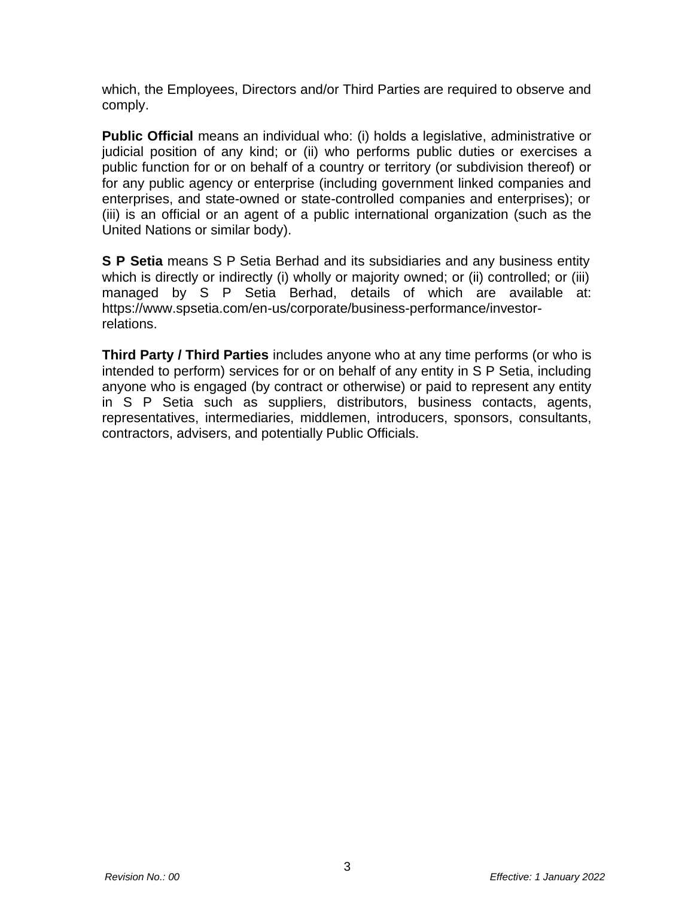which, the Employees, Directors and/or Third Parties are required to observe and comply.

**Public Official** means an individual who: (i) holds a legislative, administrative or judicial position of any kind; or (ii) who performs public duties or exercises a public function for or on behalf of a country or territory (or subdivision thereof) or for any public agency or enterprise (including government linked companies and enterprises, and state-owned or state-controlled companies and enterprises); or (iii) is an official or an agent of a public international organization (such as the United Nations or similar body).

**S P Setia** means S P Setia Berhad and its subsidiaries and any business entity which is directly or indirectly (i) wholly or majority owned; or (ii) controlled; or (iii) managed by S P Setia Berhad, details of which are available at: https:/[/www.spsetia.com/en-us/corporate/business-performance/investor](http://www.spsetia.com/en-us/corporate/business-performance/investor-)relations.

**Third Party / Third Parties** includes anyone who at any time performs (or who is intended to perform) services for or on behalf of any entity in S P Setia, including anyone who is engaged (by contract or otherwise) or paid to represent any entity in S P Setia such as suppliers, distributors, business contacts, agents, representatives, intermediaries, middlemen, introducers, sponsors, consultants, contractors, advisers, and potentially Public Officials.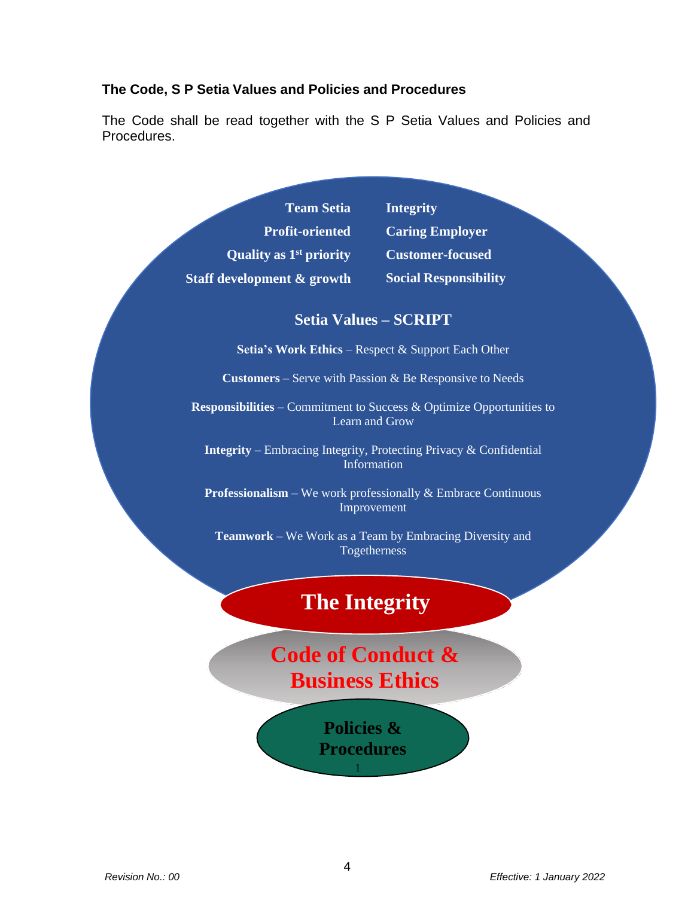## **The Code, S P Setia Values and Policies and Procedures**

The Code shall be read together with the S P Setia Values and Policies and Procedures.

> **Team Setia Profit-oriented Quality as 1 st priority Staff development & growth**

**Integrity Caring Employer Customer-focused Social Responsibility**

# **Setia Values – SCRIPT**

**Setia's Work Ethics** – Respect & Support Each Other

**Customers** – Serve with Passion & Be Responsive to Needs

**Responsibilities** – Commitment to Success & Optimize Opportunities to Learn and Grow

**Integrity** – Embracing Integrity, Protecting Privacy & Confidential Information

**Professionalism** – We work professionally & Embrace Continuous Improvement

**Teamwork** – We Work as a Team by Embracing Diversity and Togetherness

# **The Integrity**

# **Code of Conduct & Business Ethics**

**Policies & Procedures**

1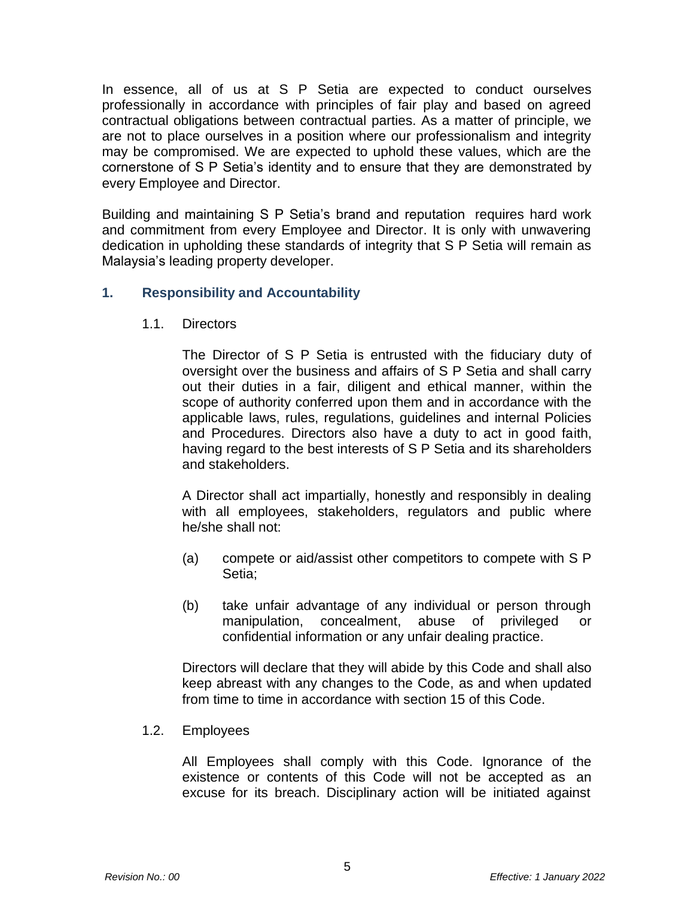In essence, all of us at S P Setia are expected to conduct ourselves professionally in accordance with principles of fair play and based on agreed contractual obligations between contractual parties. As a matter of principle, we are not to place ourselves in a position where our professionalism and integrity may be compromised. We are expected to uphold these values, which are the cornerstone of S P Setia's identity and to ensure that they are demonstrated by every Employee and Director.

Building and maintaining S P Setia's brand and reputation requires hard work and commitment from every Employee and Director. It is only with unwavering dedication in upholding these standards of integrity that S P Setia will remain as Malaysia's leading property developer.

# **1. Responsibility and Accountability**

1.1. Directors

The Director of S P Setia is entrusted with the fiduciary duty of oversight over the business and affairs of S P Setia and shall carry out their duties in a fair, diligent and ethical manner, within the scope of authority conferred upon them and in accordance with the applicable laws, rules, regulations, guidelines and internal Policies and Procedures. Directors also have a duty to act in good faith, having regard to the best interests of S P Setia and its shareholders and stakeholders.

A Director shall act impartially, honestly and responsibly in dealing with all employees, stakeholders, regulators and public where he/she shall not:

- (a) compete or aid/assist other competitors to compete with S P Setia;
- (b) take unfair advantage of any individual or person through manipulation, concealment, abuse of privileged or confidential information or any unfair dealing practice.

Directors will declare that they will abide by this Code and shall also keep abreast with any changes to the Code, as and when updated from time to time in accordance with section 15 of this Code.

1.2. Employees

All Employees shall comply with this Code. Ignorance of the existence or contents of this Code will not be accepted as an excuse for its breach. Disciplinary action will be initiated against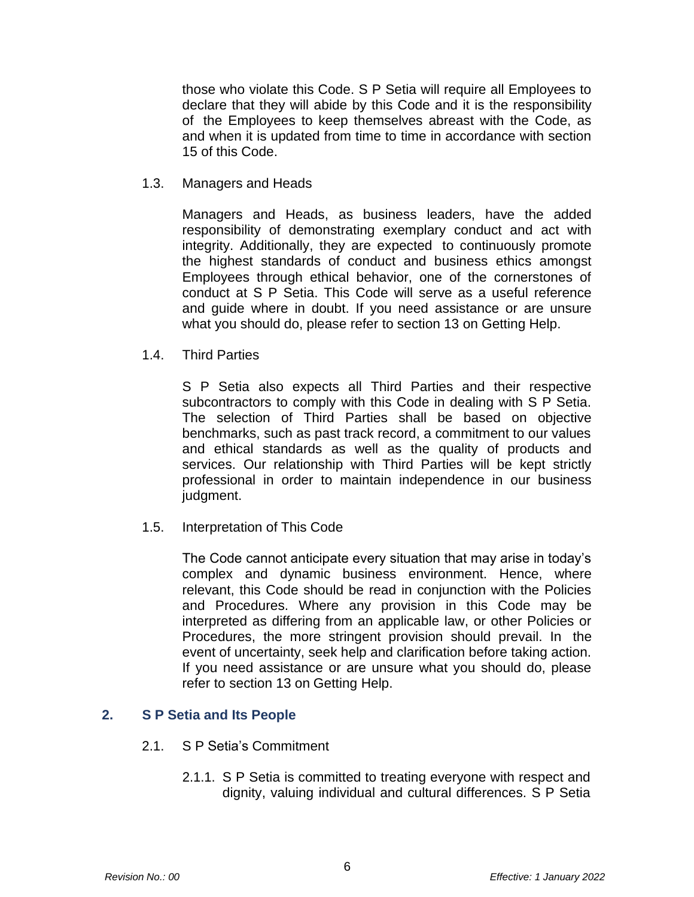those who violate this Code. S P Setia will require all Employees to declare that they will abide by this Code and it is the responsibility of the Employees to keep themselves abreast with the Code, as and when it is updated from time to time in accordance with section 15 of this Code.

1.3. Managers and Heads

Managers and Heads, as business leaders, have the added responsibility of demonstrating exemplary conduct and act with integrity. Additionally, they are expected to continuously promote the highest standards of conduct and business ethics amongst Employees through ethical behavior, one of the cornerstones of conduct at S P Setia. This Code will serve as a useful reference and guide where in doubt. If you need assistance or are unsure what you should do, please refer to section 13 on Getting Help.

1.4. Third Parties

S P Setia also expects all Third Parties and their respective subcontractors to comply with this Code in dealing with S P Setia. The selection of Third Parties shall be based on objective benchmarks, such as past track record, a commitment to our values and ethical standards as well as the quality of products and services. Our relationship with Third Parties will be kept strictly professional in order to maintain independence in our business judgment.

1.5. Interpretation of This Code

The Code cannot anticipate every situation that may arise in today's complex and dynamic business environment. Hence, where relevant, this Code should be read in conjunction with the Policies and Procedures. Where any provision in this Code may be interpreted as differing from an applicable law, or other Policies or Procedures, the more stringent provision should prevail. In the event of uncertainty, seek help and clarification before taking action. If you need assistance or are unsure what you should do, please refer to section 13 on Getting Help.

## **2. S P Setia and Its People**

- 2.1. S P Setia's Commitment
	- 2.1.1. S P Setia is committed to treating everyone with respect and dignity, valuing individual and cultural differences. S P Setia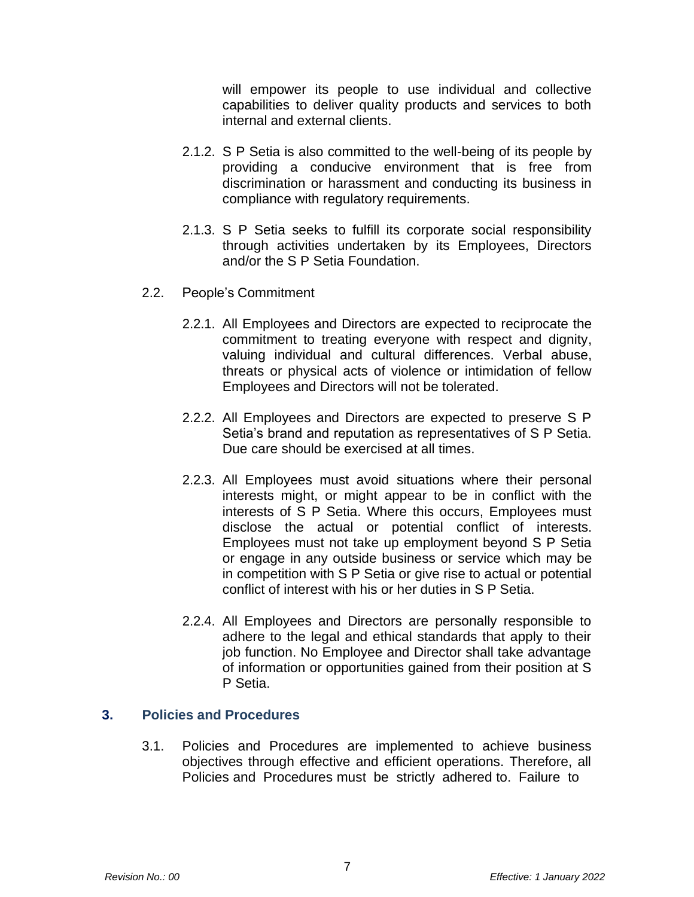will empower its people to use individual and collective capabilities to deliver quality products and services to both internal and external clients.

- 2.1.2. S P Setia is also committed to the well-being of its people by providing a conducive environment that is free from discrimination or harassment and conducting its business in compliance with regulatory requirements.
- 2.1.3. S P Setia seeks to fulfill its corporate social responsibility through activities undertaken by its Employees, Directors and/or the S P Setia Foundation.
- 2.2. People's Commitment
	- 2.2.1. All Employees and Directors are expected to reciprocate the commitment to treating everyone with respect and dignity, valuing individual and cultural differences. Verbal abuse, threats or physical acts of violence or intimidation of fellow Employees and Directors will not be tolerated.
	- 2.2.2. All Employees and Directors are expected to preserve S P Setia's brand and reputation as representatives of S P Setia. Due care should be exercised at all times.
	- 2.2.3. All Employees must avoid situations where their personal interests might, or might appear to be in conflict with the interests of S P Setia. Where this occurs, Employees must disclose the actual or potential conflict of interests. Employees must not take up employment beyond S P Setia or engage in any outside business or service which may be in competition with S P Setia or give rise to actual or potential conflict of interest with his or her duties in S P Setia.
	- 2.2.4. All Employees and Directors are personally responsible to adhere to the legal and ethical standards that apply to their job function. No Employee and Director shall take advantage of information or opportunities gained from their position at S P Setia.

## **3. Policies and Procedures**

3.1. Policies and Procedures are implemented to achieve business objectives through effective and efficient operations. Therefore, all Policies and Procedures must be strictly adhered to. Failure to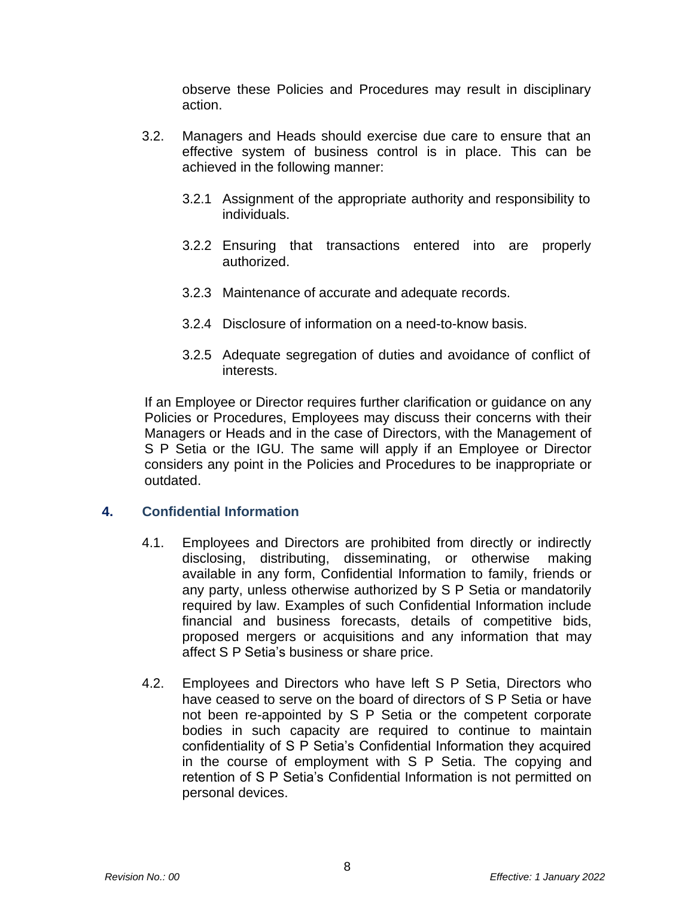observe these Policies and Procedures may result in disciplinary action.

- 3.2. Managers and Heads should exercise due care to ensure that an effective system of business control is in place. This can be achieved in the following manner:
	- 3.2.1 Assignment of the appropriate authority and responsibility to individuals.
	- 3.2.2 Ensuring that transactions entered into are properly authorized.
	- 3.2.3 Maintenance of accurate and adequate records.
	- 3.2.4 Disclosure of information on a need-to-know basis.
	- 3.2.5 Adequate segregation of duties and avoidance of conflict of interests.

If an Employee or Director requires further clarification or guidance on any Policies or Procedures, Employees may discuss their concerns with their Managers or Heads and in the case of Directors, with the Management of S P Setia or the IGU. The same will apply if an Employee or Director considers any point in the Policies and Procedures to be inappropriate or outdated.

## **4. Confidential Information**

- 4.1. Employees and Directors are prohibited from directly or indirectly disclosing, distributing, disseminating, or otherwise making available in any form, Confidential Information to family, friends or any party, unless otherwise authorized by S P Setia or mandatorily required by law. Examples of such Confidential Information include financial and business forecasts, details of competitive bids, proposed mergers or acquisitions and any information that may affect S P Setia's business or share price.
- 4.2. Employees and Directors who have left S P Setia, Directors who have ceased to serve on the board of directors of S P Setia or have not been re-appointed by S P Setia or the competent corporate bodies in such capacity are required to continue to maintain confidentiality of S P Setia's Confidential Information they acquired in the course of employment with S P Setia. The copying and retention of S P Setia's Confidential Information is not permitted on personal devices.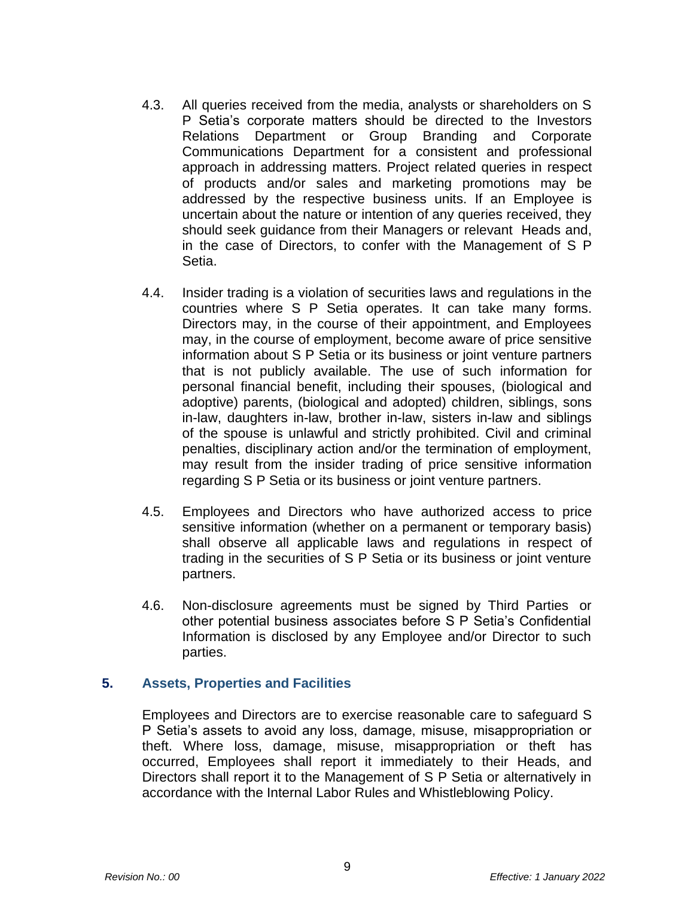- 4.3. All queries received from the media, analysts or shareholders on S P Setia's corporate matters should be directed to the Investors Relations Department or Group Branding and Corporate Communications Department for a consistent and professional approach in addressing matters. Project related queries in respect of products and/or sales and marketing promotions may be addressed by the respective business units. If an Employee is uncertain about the nature or intention of any queries received, they should seek guidance from their Managers or relevant Heads and, in the case of Directors, to confer with the Management of S P Setia.
- 4.4. Insider trading is a violation of securities laws and regulations in the countries where S P Setia operates. It can take many forms. Directors may, in the course of their appointment, and Employees may, in the course of employment, become aware of price sensitive information about S P Setia or its business or joint venture partners that is not publicly available. The use of such information for personal financial benefit, including their spouses, (biological and adoptive) parents, (biological and adopted) children, siblings, sons in-law, daughters in-law, brother in-law, sisters in-law and siblings of the spouse is unlawful and strictly prohibited. Civil and criminal penalties, disciplinary action and/or the termination of employment, may result from the insider trading of price sensitive information regarding S P Setia or its business or joint venture partners.
- 4.5. Employees and Directors who have authorized access to price sensitive information (whether on a permanent or temporary basis) shall observe all applicable laws and regulations in respect of trading in the securities of S P Setia or its business or joint venture partners.
- 4.6. Non-disclosure agreements must be signed by Third Parties or other potential business associates before S P Setia's Confidential Information is disclosed by any Employee and/or Director to such parties.

#### **5. Assets, Properties and Facilities**

Employees and Directors are to exercise reasonable care to safeguard S P Setia's assets to avoid any loss, damage, misuse, misappropriation or theft. Where loss, damage, misuse, misappropriation or theft has occurred, Employees shall report it immediately to their Heads, and Directors shall report it to the Management of S P Setia or alternatively in accordance with the Internal Labor Rules and Whistleblowing Policy.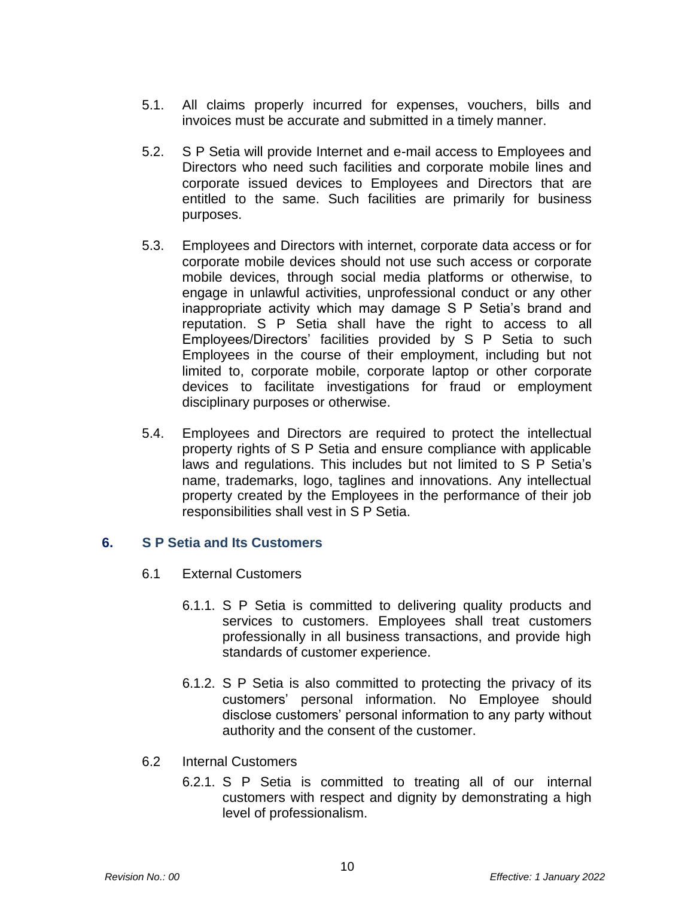- 5.1. All claims properly incurred for expenses, vouchers, bills and invoices must be accurate and submitted in a timely manner.
- 5.2. S P Setia will provide Internet and e-mail access to Employees and Directors who need such facilities and corporate mobile lines and corporate issued devices to Employees and Directors that are entitled to the same. Such facilities are primarily for business purposes.
- 5.3. Employees and Directors with internet, corporate data access or for corporate mobile devices should not use such access or corporate mobile devices, through social media platforms or otherwise, to engage in unlawful activities, unprofessional conduct or any other inappropriate activity which may damage S P Setia's brand and reputation. S P Setia shall have the right to access to all Employees/Directors' facilities provided by S P Setia to such Employees in the course of their employment, including but not limited to, corporate mobile, corporate laptop or other corporate devices to facilitate investigations for fraud or employment disciplinary purposes or otherwise.
- 5.4. Employees and Directors are required to protect the intellectual property rights of S P Setia and ensure compliance with applicable laws and regulations. This includes but not limited to S P Setia's name, trademarks, logo, taglines and innovations. Any intellectual property created by the Employees in the performance of their job responsibilities shall vest in S P Setia.

## **6. S P Setia and Its Customers**

- 6.1 External Customers
	- 6.1.1. S P Setia is committed to delivering quality products and services to customers. Employees shall treat customers professionally in all business transactions, and provide high standards of customer experience.
	- 6.1.2. S P Setia is also committed to protecting the privacy of its customers' personal information. No Employee should disclose customers' personal information to any party without authority and the consent of the customer.
- 6.2 Internal Customers
	- 6.2.1. S P Setia is committed to treating all of our internal customers with respect and dignity by demonstrating a high level of professionalism.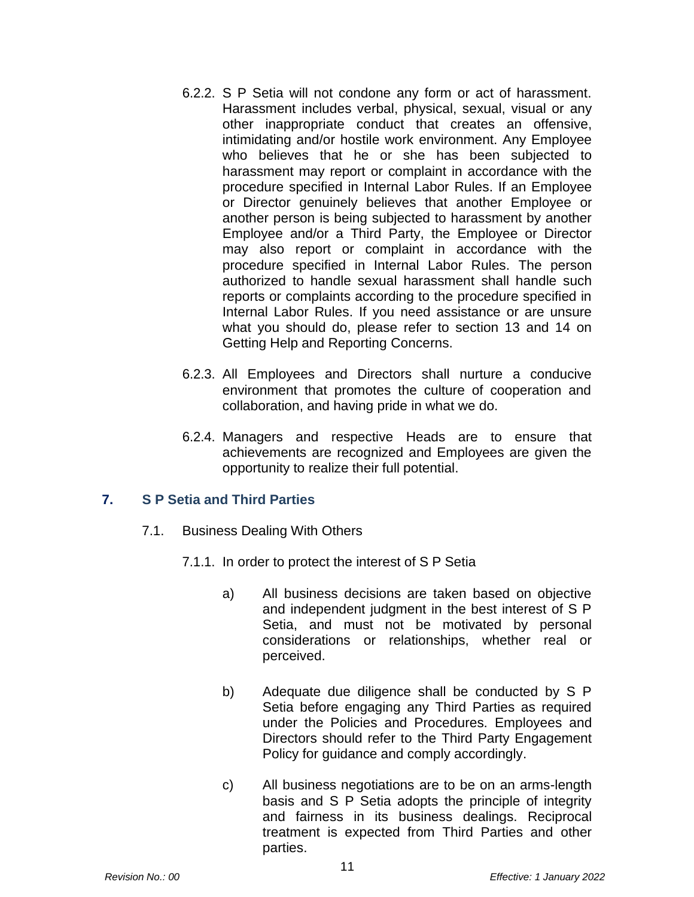- 6.2.2. S P Setia will not condone any form or act of harassment. Harassment includes verbal, physical, sexual, visual or any other inappropriate conduct that creates an offensive, intimidating and/or hostile work environment. Any Employee who believes that he or she has been subjected to harassment may report or complaint in accordance with the procedure specified in Internal Labor Rules. If an Employee or Director genuinely believes that another Employee or another person is being subjected to harassment by another Employee and/or a Third Party, the Employee or Director may also report or complaint in accordance with the procedure specified in Internal Labor Rules. The person authorized to handle sexual harassment shall handle such reports or complaints according to the procedure specified in Internal Labor Rules. If you need assistance or are unsure what you should do, please refer to section 13 and 14 on Getting Help and Reporting Concerns.
- 6.2.3. All Employees and Directors shall nurture a conducive environment that promotes the culture of cooperation and collaboration, and having pride in what we do.
- 6.2.4. Managers and respective Heads are to ensure that achievements are recognized and Employees are given the opportunity to realize their full potential.

## **7. S P Setia and Third Parties**

- 7.1. Business Dealing With Others
	- 7.1.1. In order to protect the interest of S P Setia
		- a) All business decisions are taken based on objective and independent judgment in the best interest of S P Setia, and must not be motivated by personal considerations or relationships, whether real or perceived.
		- b) Adequate due diligence shall be conducted by S P Setia before engaging any Third Parties as required under the Policies and Procedures. Employees and Directors should refer to the Third Party Engagement Policy for guidance and comply accordingly.
		- c) All business negotiations are to be on an arms-length basis and S P Setia adopts the principle of integrity and fairness in its business dealings. Reciprocal treatment is expected from Third Parties and other parties.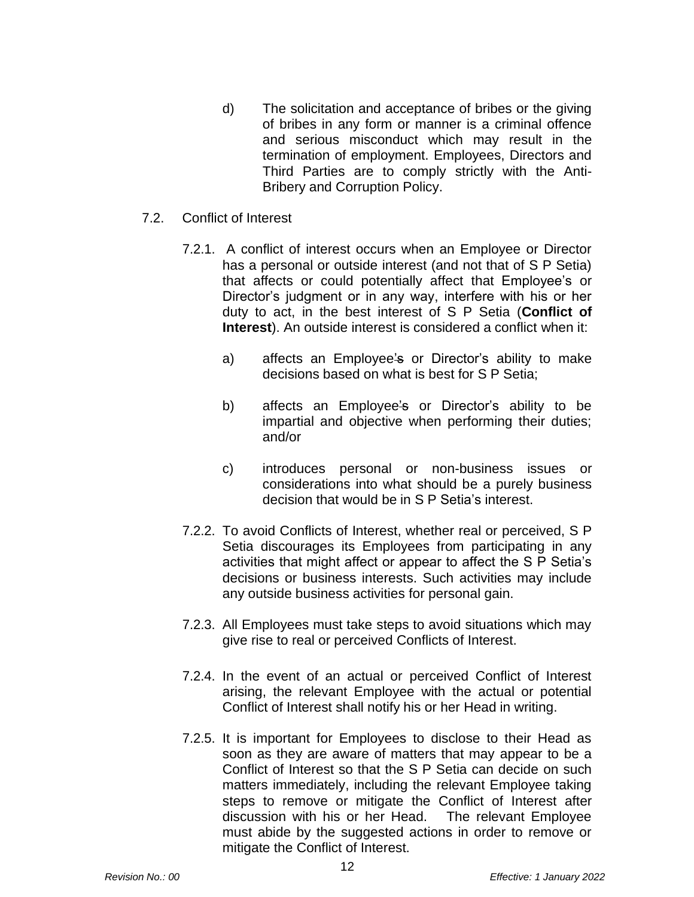- d) The solicitation and acceptance of bribes or the giving of bribes in any form or manner is a criminal offence and serious misconduct which may result in the termination of employment. Employees, Directors and Third Parties are to comply strictly with the Anti-Bribery and Corruption Policy.
- 7.2. Conflict of Interest
	- 7.2.1. A conflict of interest occurs when an Employee or Director has a personal or outside interest (and not that of S P Setia) that affects or could potentially affect that Employee's or Director's judgment or in any way, interfere with his or her duty to act, in the best interest of S P Setia (**Conflict of Interest**). An outside interest is considered a conflict when it:
		- a) affects an Employee's or Director's ability to make decisions based on what is best for S P Setia;
		- b) affects an Employee's or Director's ability to be impartial and objective when performing their duties; and/or
		- c) introduces personal or non-business issues or considerations into what should be a purely business decision that would be in S P Setia's interest.
	- 7.2.2. To avoid Conflicts of Interest, whether real or perceived, S P Setia discourages its Employees from participating in any activities that might affect or appear to affect the S P Setia's decisions or business interests. Such activities may include any outside business activities for personal gain.
	- 7.2.3. All Employees must take steps to avoid situations which may give rise to real or perceived Conflicts of Interest.
	- 7.2.4. In the event of an actual or perceived Conflict of Interest arising, the relevant Employee with the actual or potential Conflict of Interest shall notify his or her Head in writing.
	- 7.2.5. It is important for Employees to disclose to their Head as soon as they are aware of matters that may appear to be a Conflict of Interest so that the S P Setia can decide on such matters immediately, including the relevant Employee taking steps to remove or mitigate the Conflict of Interest after discussion with his or her Head. The relevant Employee must abide by the suggested actions in order to remove or mitigate the Conflict of Interest.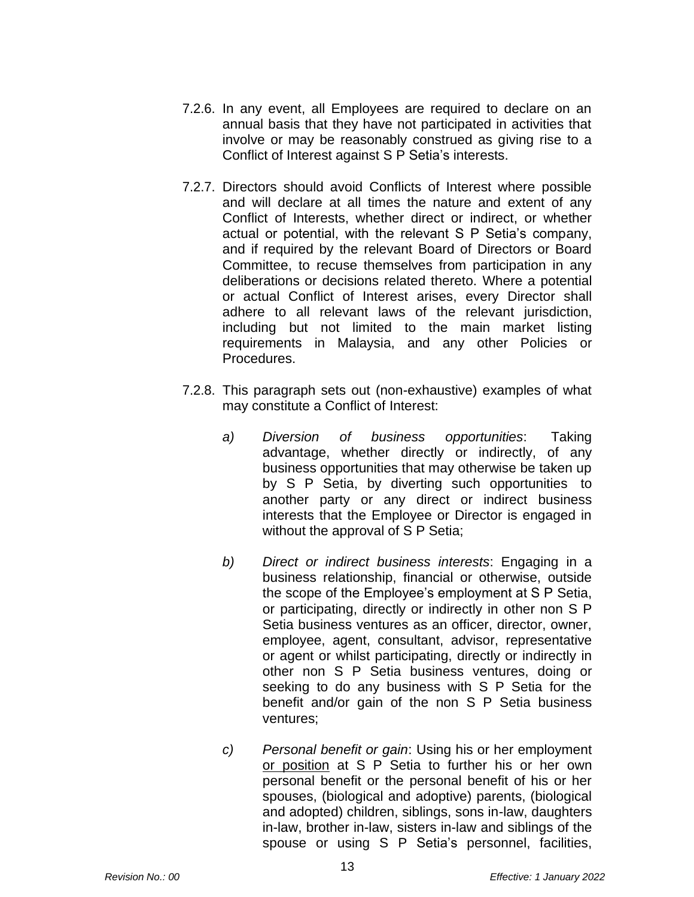- 7.2.6. In any event, all Employees are required to declare on an annual basis that they have not participated in activities that involve or may be reasonably construed as giving rise to a Conflict of Interest against S P Setia's interests.
- 7.2.7. Directors should avoid Conflicts of Interest where possible and will declare at all times the nature and extent of any Conflict of Interests, whether direct or indirect, or whether actual or potential, with the relevant S P Setia's company, and if required by the relevant Board of Directors or Board Committee, to recuse themselves from participation in any deliberations or decisions related thereto. Where a potential or actual Conflict of Interest arises, every Director shall adhere to all relevant laws of the relevant jurisdiction, including but not limited to the main market listing requirements in Malaysia, and any other Policies or Procedures.
- 7.2.8. This paragraph sets out (non-exhaustive) examples of what may constitute a Conflict of Interest:
	- *a) Diversion of business opportunities*: Taking advantage, whether directly or indirectly, of any business opportunities that may otherwise be taken up by S P Setia, by diverting such opportunities to another party or any direct or indirect business interests that the Employee or Director is engaged in without the approval of S P Setia;
	- *b) Direct or indirect business interests*: Engaging in a business relationship, financial or otherwise, outside the scope of the Employee's employment at S P Setia, or participating, directly or indirectly in other non S P Setia business ventures as an officer, director, owner, employee, agent, consultant, advisor, representative or agent or whilst participating, directly or indirectly in other non S P Setia business ventures, doing or seeking to do any business with S P Setia for the benefit and/or gain of the non S P Setia business ventures;
	- *c) Personal benefit or gain*: Using his or her employment or position at S P Setia to further his or her own personal benefit or the personal benefit of his or her spouses, (biological and adoptive) parents, (biological and adopted) children, siblings, sons in-law, daughters in-law, brother in-law, sisters in-law and siblings of the spouse or using S P Setia's personnel, facilities,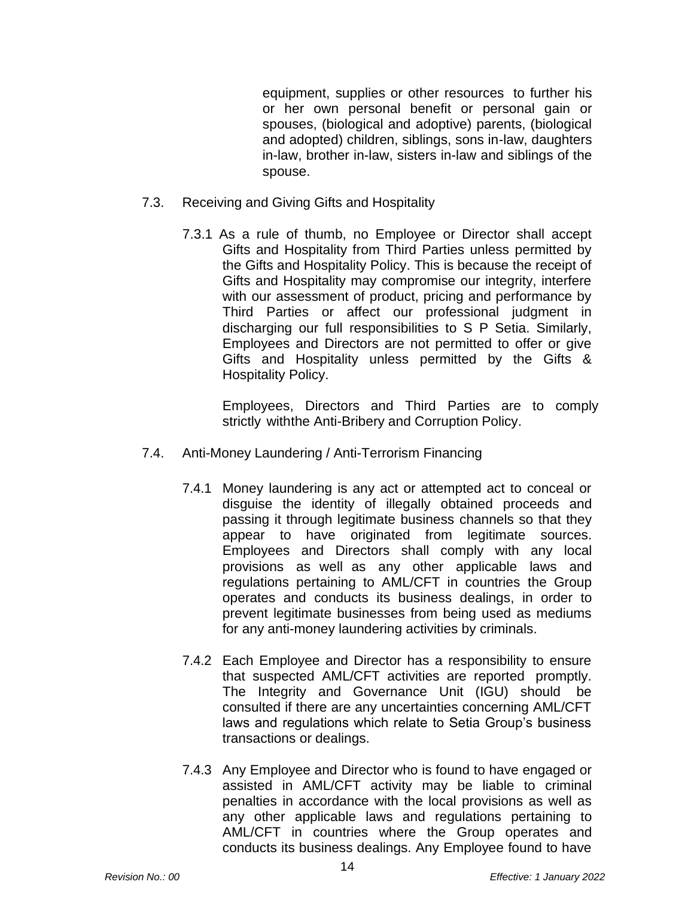equipment, supplies or other resources to further his or her own personal benefit or personal gain or spouses, (biological and adoptive) parents, (biological and adopted) children, siblings, sons in-law, daughters in-law, brother in-law, sisters in-law and siblings of the spouse.

- 7.3. Receiving and Giving Gifts and Hospitality
	- 7.3.1 As a rule of thumb, no Employee or Director shall accept Gifts and Hospitality from Third Parties unless permitted by the Gifts and Hospitality Policy. This is because the receipt of Gifts and Hospitality may compromise our integrity, interfere with our assessment of product, pricing and performance by Third Parties or affect our professional judgment in discharging our full responsibilities to S P Setia. Similarly, Employees and Directors are not permitted to offer or give Gifts and Hospitality unless permitted by the Gifts & Hospitality Policy.

Employees, Directors and Third Parties are to comply strictly withthe Anti-Bribery and Corruption Policy.

- 7.4. Anti-Money Laundering / Anti-Terrorism Financing
	- 7.4.1 Money laundering is any act or attempted act to conceal or disguise the identity of illegally obtained proceeds and passing it through legitimate business channels so that they appear to have originated from legitimate sources. Employees and Directors shall comply with any local provisions as well as any other applicable laws and regulations pertaining to AML/CFT in countries the Group operates and conducts its business dealings, in order to prevent legitimate businesses from being used as mediums for any anti-money laundering activities by criminals.
	- 7.4.2 Each Employee and Director has a responsibility to ensure that suspected AML/CFT activities are reported promptly. The Integrity and Governance Unit (IGU) should be consulted if there are any uncertainties concerning AML/CFT laws and regulations which relate to Setia Group's business transactions or dealings.
	- 7.4.3 Any Employee and Director who is found to have engaged or assisted in AML/CFT activity may be liable to criminal penalties in accordance with the local provisions as well as any other applicable laws and regulations pertaining to AML/CFT in countries where the Group operates and conducts its business dealings. Any Employee found to have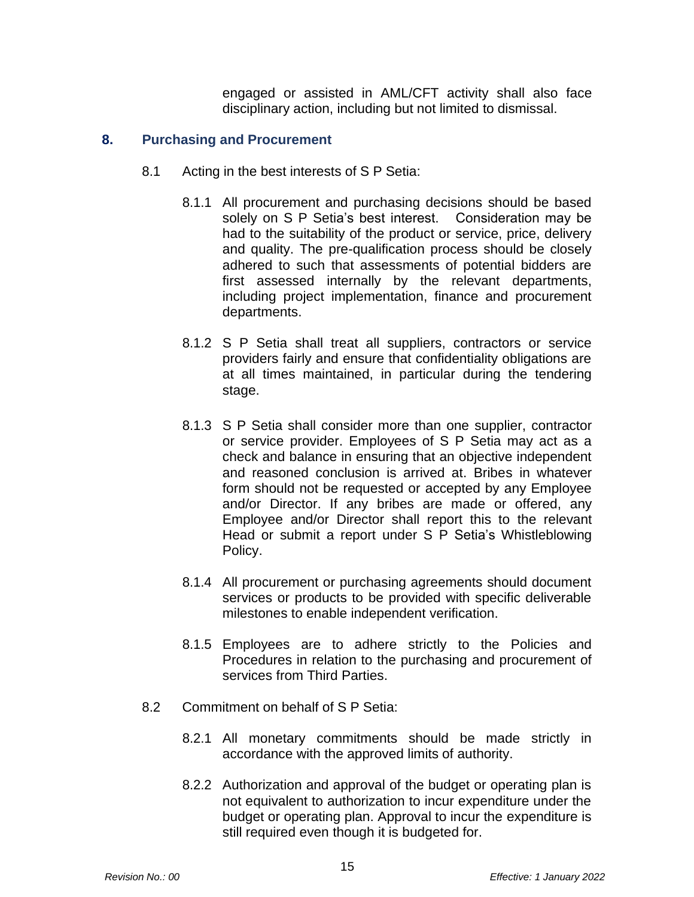engaged or assisted in AML/CFT activity shall also face disciplinary action, including but not limited to dismissal.

#### **8. Purchasing and Procurement**

- 8.1 Acting in the best interests of S P Setia:
	- 8.1.1 All procurement and purchasing decisions should be based solely on S P Setia's best interest. Consideration may be had to the suitability of the product or service, price, delivery and quality. The pre-qualification process should be closely adhered to such that assessments of potential bidders are first assessed internally by the relevant departments, including project implementation, finance and procurement departments.
	- 8.1.2 S P Setia shall treat all suppliers, contractors or service providers fairly and ensure that confidentiality obligations are at all times maintained, in particular during the tendering stage.
	- 8.1.3 S P Setia shall consider more than one supplier, contractor or service provider. Employees of S P Setia may act as a check and balance in ensuring that an objective independent and reasoned conclusion is arrived at. Bribes in whatever form should not be requested or accepted by any Employee and/or Director. If any bribes are made or offered, any Employee and/or Director shall report this to the relevant Head or submit a report under S P Setia's Whistleblowing Policy.
	- 8.1.4 All procurement or purchasing agreements should document services or products to be provided with specific deliverable milestones to enable independent verification.
	- 8.1.5 Employees are to adhere strictly to the Policies and Procedures in relation to the purchasing and procurement of services from Third Parties.
- 8.2 Commitment on behalf of S P Setia:
	- 8.2.1 All monetary commitments should be made strictly in accordance with the approved limits of authority.
	- 8.2.2 Authorization and approval of the budget or operating plan is not equivalent to authorization to incur expenditure under the budget or operating plan. Approval to incur the expenditure is still required even though it is budgeted for.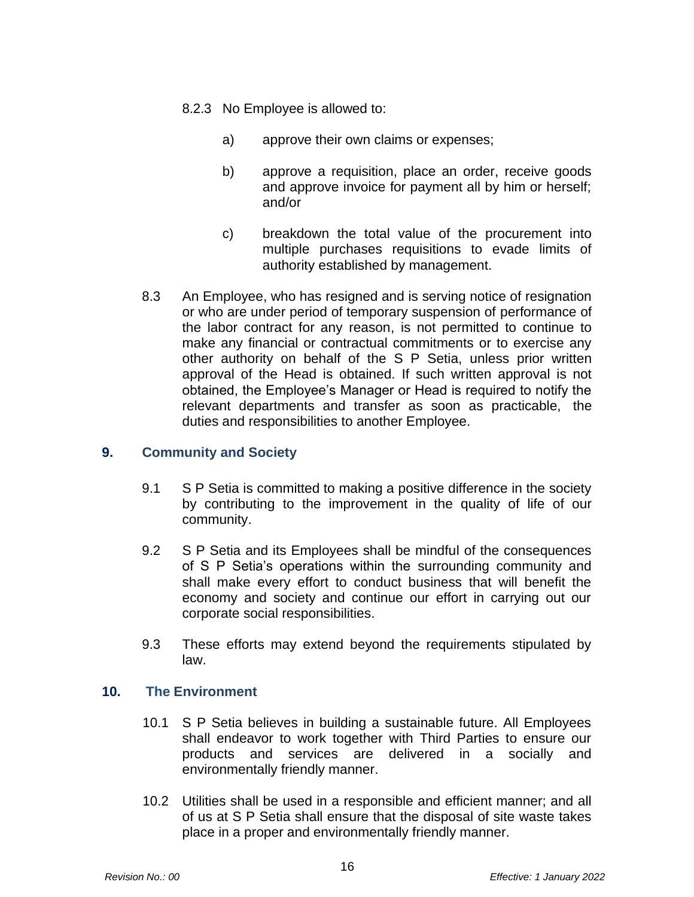- 8.2.3 No Employee is allowed to:
	- a) approve their own claims or expenses;
	- b) approve a requisition, place an order, receive goods and approve invoice for payment all by him or herself; and/or
	- c) breakdown the total value of the procurement into multiple purchases requisitions to evade limits of authority established by management.
- 8.3 An Employee, who has resigned and is serving notice of resignation or who are under period of temporary suspension of performance of the labor contract for any reason, is not permitted to continue to make any financial or contractual commitments or to exercise any other authority on behalf of the S P Setia, unless prior written approval of the Head is obtained. If such written approval is not obtained, the Employee's Manager or Head is required to notify the relevant departments and transfer as soon as practicable, the duties and responsibilities to another Employee.

## **9. Community and Society**

- 9.1 S P Setia is committed to making a positive difference in the society by contributing to the improvement in the quality of life of our community.
- 9.2 S P Setia and its Employees shall be mindful of the consequences of S P Setia's operations within the surrounding community and shall make every effort to conduct business that will benefit the economy and society and continue our effort in carrying out our corporate social responsibilities.
- 9.3 These efforts may extend beyond the requirements stipulated by law.

## **10. The Environment**

- 10.1 S P Setia believes in building a sustainable future. All Employees shall endeavor to work together with Third Parties to ensure our products and services are delivered in a socially and environmentally friendly manner.
- 10.2 Utilities shall be used in a responsible and efficient manner; and all of us at S P Setia shall ensure that the disposal of site waste takes place in a proper and environmentally friendly manner.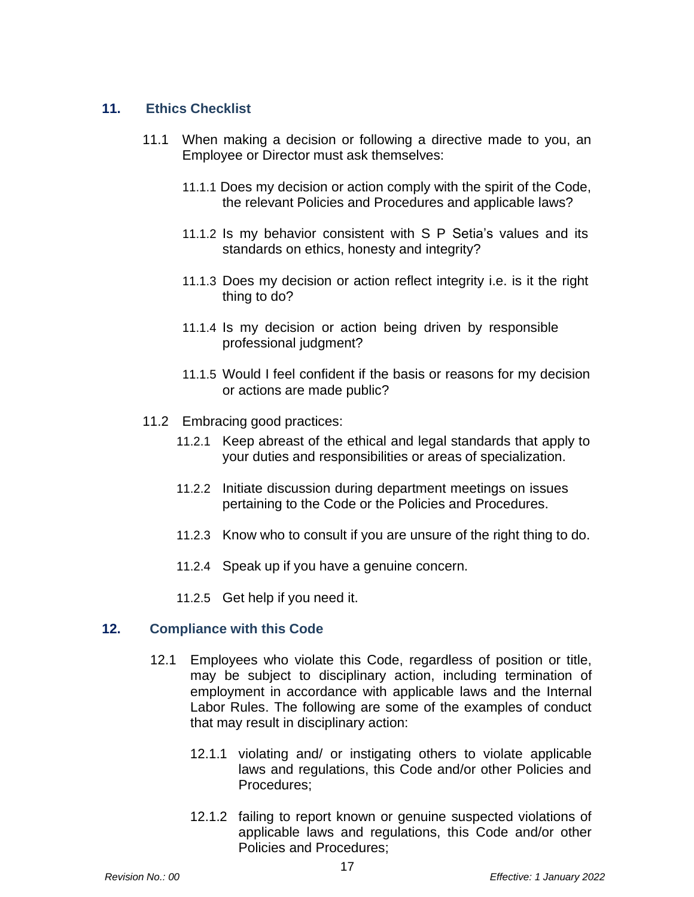# **11. Ethics Checklist**

- 11.1 When making a decision or following a directive made to you, an Employee or Director must ask themselves:
	- 11.1.1 Does my decision or action comply with the spirit of the Code, the relevant Policies and Procedures and applicable laws?
	- 11.1.2 Is my behavior consistent with S P Setia's values and its standards on ethics, honesty and integrity?
	- 11.1.3 Does my decision or action reflect integrity i.e. is it the right thing to do?
	- 11.1.4 Is my decision or action being driven by responsible professional judgment?
	- 11.1.5 Would I feel confident if the basis or reasons for my decision or actions are made public?
- 11.2 Embracing good practices:
	- 11.2.1 Keep abreast of the ethical and legal standards that apply to your duties and responsibilities or areas of specialization.
	- 11.2.2 Initiate discussion during department meetings on issues pertaining to the Code or the Policies and Procedures.
	- 11.2.3 Know who to consult if you are unsure of the right thing to do.
	- 11.2.4 Speak up if you have a genuine concern.
	- 11.2.5 Get help if you need it.

## **12. Compliance with this Code**

- 12.1 Employees who violate this Code, regardless of position or title, may be subject to disciplinary action, including termination of employment in accordance with applicable laws and the Internal Labor Rules. The following are some of the examples of conduct that may result in disciplinary action:
	- 12.1.1 violating and/ or instigating others to violate applicable laws and regulations, this Code and/or other Policies and Procedures;
	- 12.1.2 failing to report known or genuine suspected violations of applicable laws and regulations, this Code and/or other Policies and Procedures;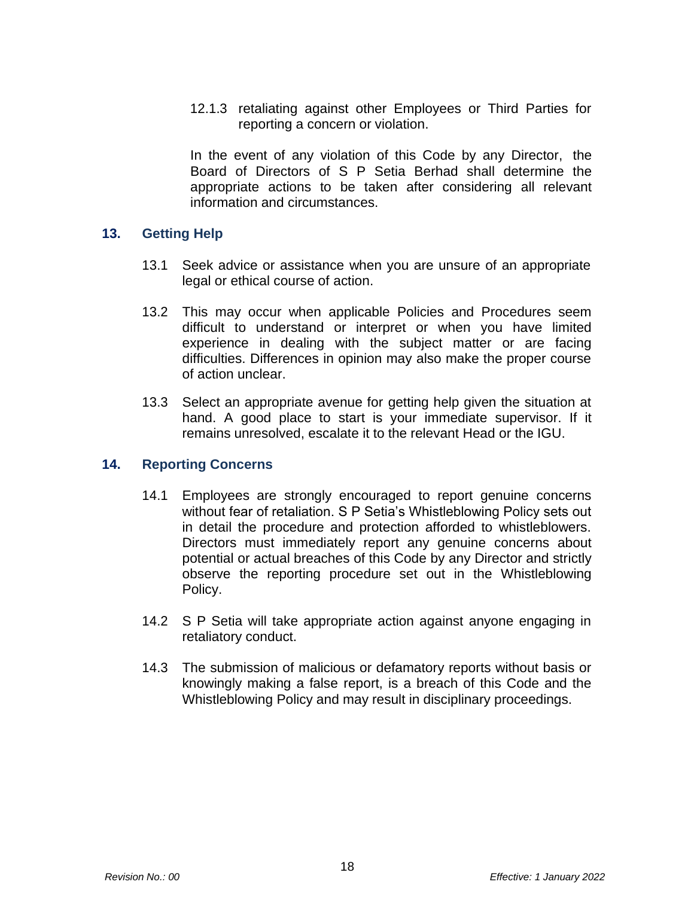12.1.3 retaliating against other Employees or Third Parties for reporting a concern or violation.

In the event of any violation of this Code by any Director, the Board of Directors of S P Setia Berhad shall determine the appropriate actions to be taken after considering all relevant information and circumstances.

#### **13. Getting Help**

- 13.1 Seek advice or assistance when you are unsure of an appropriate legal or ethical course of action.
- 13.2 This may occur when applicable Policies and Procedures seem difficult to understand or interpret or when you have limited experience in dealing with the subject matter or are facing difficulties. Differences in opinion may also make the proper course of action unclear.
- 13.3 Select an appropriate avenue for getting help given the situation at hand. A good place to start is your immediate supervisor. If it remains unresolved, escalate it to the relevant Head or the IGU.

## **14. Reporting Concerns**

- 14.1 Employees are strongly encouraged to report genuine concerns without fear of retaliation. S P Setia's Whistleblowing Policy sets out in detail the procedure and protection afforded to whistleblowers. Directors must immediately report any genuine concerns about potential or actual breaches of this Code by any Director and strictly observe the reporting procedure set out in the Whistleblowing Policy.
- 14.2 S P Setia will take appropriate action against anyone engaging in retaliatory conduct.
- 14.3 The submission of malicious or defamatory reports without basis or knowingly making a false report, is a breach of this Code and the Whistleblowing Policy and may result in disciplinary proceedings.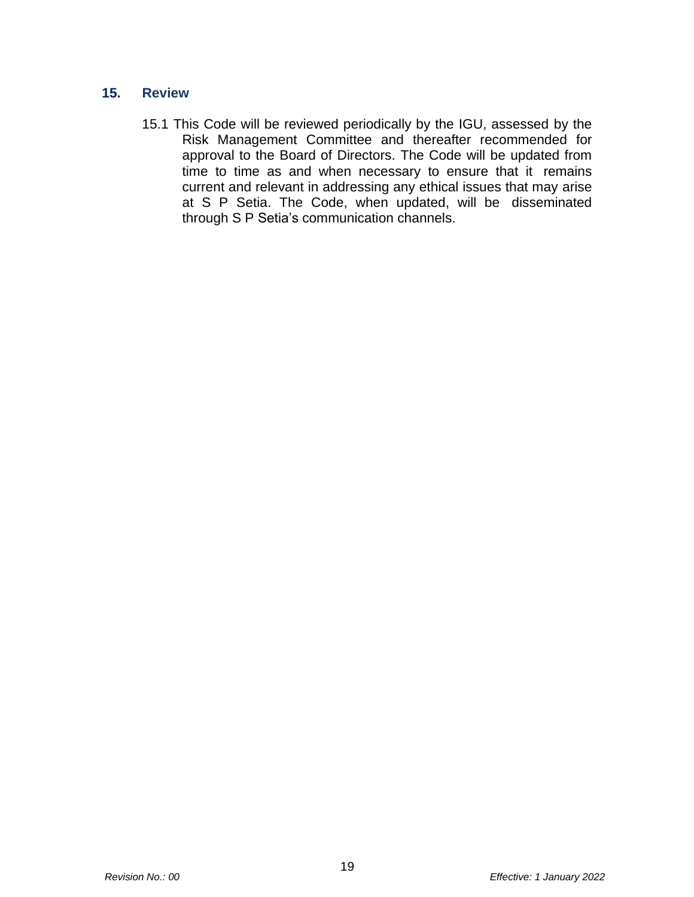# **15. Review**

15.1 This Code will be reviewed periodically by the IGU, assessed by the Risk Management Committee and thereafter recommended for approval to the Board of Directors. The Code will be updated from time to time as and when necessary to ensure that it remains current and relevant in addressing any ethical issues that may arise at S P Setia. The Code, when updated, will be disseminated through S P Setia's communication channels.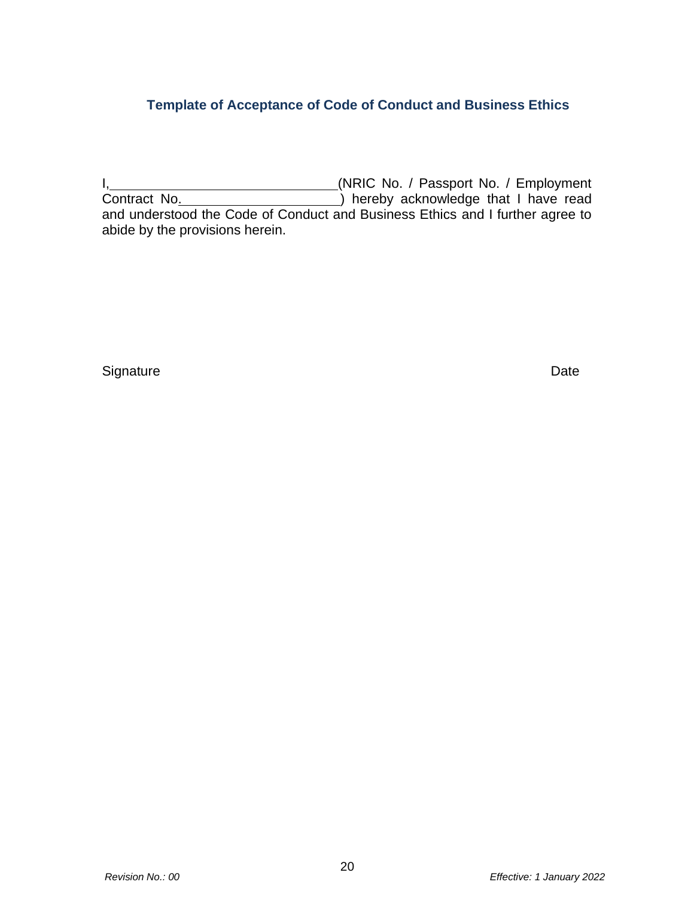# **Template of Acceptance of Code of Conduct and Business Ethics**

I, Manuel Allen Contract (NRIC No. / Passport No. / Employment Contract No. **Interest and Contract No.** (2011) hereby acknowledge that I have read and understood the Code of Conduct and Business Ethics and I further agree to abide by the provisions herein.

Signature Date **Date**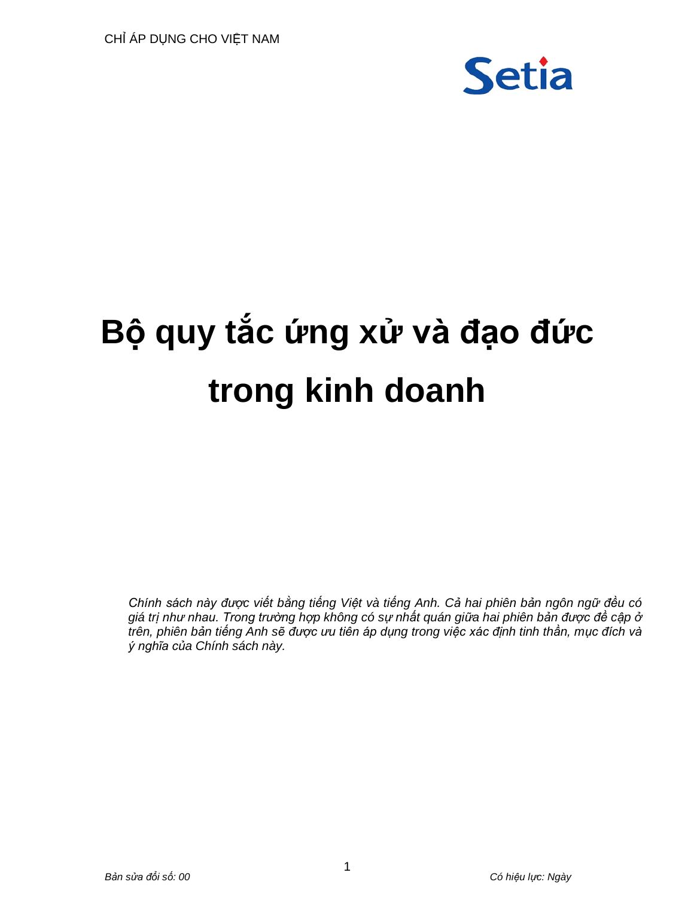

# **Bộ quy tắc ứng xử và đạo đức trong kinh doanh**

*Chính sách này được viết bằng tiếng Việt và tiếng Anh. Cả hai phiên bản ngôn ngữ đều có giá trị như nhau. Trong trường hợp không có sự nhất quán giữa hai phiên bản được đề cập ở trên, phiên bản tiếng Anh sẽ được ưu tiên áp dụng trong việc xác định tinh thần, mục đích và ý nghĩa của Chính sách này.*

1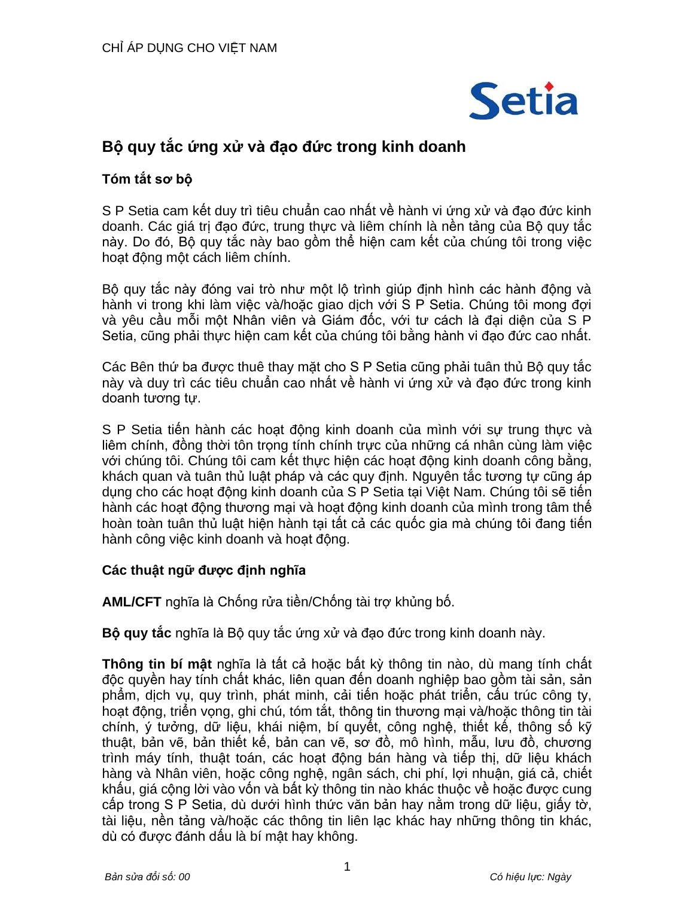

# **Bộ quy tắc ứng xử và đạo đức trong kinh doanh**

# **Tóm tắt sơ bộ**

S P Setia cam kết duy trì tiêu chuẩn cao nhất về hành vi ứng xử và đạo đức kinh doanh. Các giá trị đạo đức, trung thực và liêm chính là nền tảng của Bộ quy tắc này. Do đó, Bộ quy tắc này bao gồm thể hiện cam kết của chúng tôi trong việc hoạt động một cách liêm chính.

Bộ quy tắc này đóng vai trò như một lộ trình giúp định hình các hành động và hành vi trong khi làm việc và/hoặc giao dịch với S P Setia. Chúng tôi mong đợi và yêu cầu mỗi một Nhân viên và Giám đốc, với tư cách là đại diện của S P Setia, cũng phải thực hiện cam kết của chúng tôi bằng hành vi đạo đức cao nhất.

Các Bên thứ ba được thuê thay mặt cho S P Setia cũng phải tuân thủ Bộ quy tắc này và duy trì các tiêu chuẩn cao nhất về hành vi ứng xử và đạo đức trong kinh doanh tương tự.

S P Setia tiến hành các hoạt động kinh doanh của mình với sự trung thực và liêm chính, đồng thời tôn trọng tính chính trực của những cá nhân cùng làm việc với chúng tôi. Chúng tôi cam kết thực hiện các hoạt động kinh doanh công bằng, khách quan và tuân thủ luật pháp và các quy định. Nguyên tắc tương tự cũng áp dung cho các hoạt động kinh doanh của S P Setia tại Việt Nam. Chúng tôi sẽ tiến hành các hoạt động thương mại và hoạt động kinh doanh của mình trong tâm thế hoàn toàn tuân thủ luật hiện hành tại tất cả các quốc gia mà chúng tôi đang tiến hành công việc kinh doanh và hoạt động.

# **Các thuật ngữ được định nghĩa**

**AML/CFT** nghĩa là Chống rửa tiền/Chống tài trợ khủng bố.

**Bộ quy tắc** nghĩa là Bộ quy tắc ứng xử và đạo đức trong kinh doanh này.

**Thông tin bí mật** nghĩa là tất cả hoặc bất kỳ thông tin nào, dù mang tính chất độc quyền hay tính chất khác, liên quan đến doanh nghiệp bao gồm tài sản, sản phẩm, dịch vụ, quy trình, phát minh, cải tiến hoặc phát triển, cấu trúc công ty, hoạt động, triển vọng, ghi chú, tóm tắt, thông tin thương mại và/hoặc thông tin tài chính, ý tưởng, dữ liệu, khái niệm, bí quyết, công nghệ, thiết kế, thông số kỹ thuật, bản vẽ, bản thiết kế, bản can vẽ, sơ đồ, mô hình, mẫu, lưu đồ, chương trình máy tính, thuật toán, các hoạt động bán hàng và tiếp thị, dữ liệu khách hàng và Nhân viên, hoặc công nghệ, ngân sách, chi phí, lợi nhuận, giá cả, chiết khấu, giá cộng lời vào vốn và bất kỳ thông tin nào khác thuộc về hoặc được cung cấp trong S P Setia, dù dưới hình thức văn bản hay nằm trong dữ liệu, giấy tờ, tài liệu, nền tảng và/hoặc các thông tin liên lạc khác hay những thông tin khác, dù có được đánh dấu là bí mật hay không.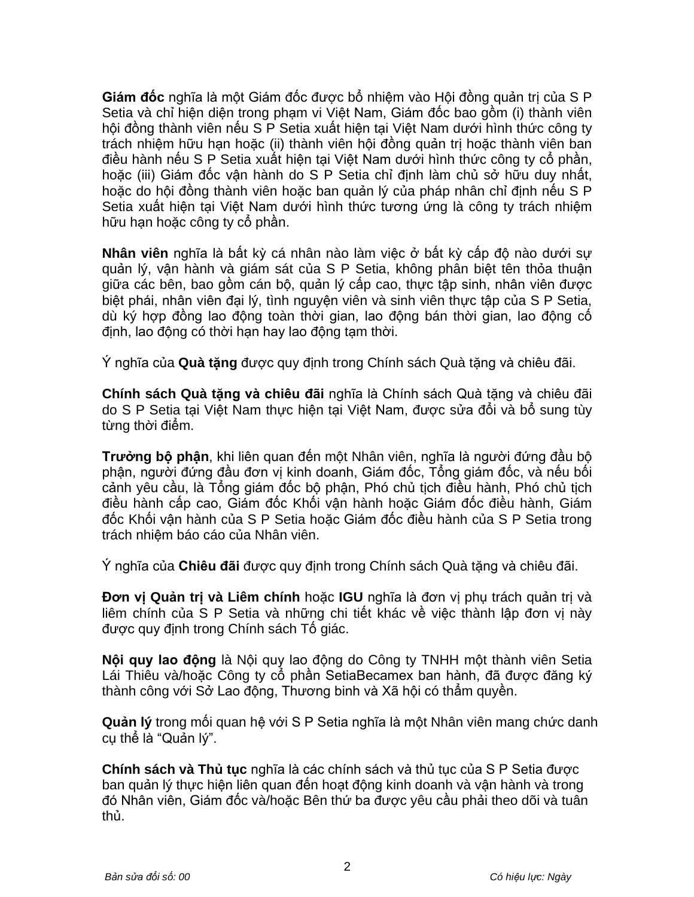**Giám đốc** nghĩa là một Giám đốc được bổ nhiệm vào Hội đồng quản trị của S P Setia và chỉ hiện diện trong phạm vi Việt Nam, Giám đốc bao gồm (i) thành viên hội đồng thành viên nếu S P Setia xuất hiện tại Việt Nam dưới hình thức công ty trách nhiệm hữu hạn hoặc (ii) thành viên hội đồng quản trị hoặc thành viên ban điều hành nếu S P Setia xuất hiện tại Việt Nam dưới hình thức công ty cổ phần, hoặc (iii) Giám đốc vận hành do S P Setia chỉ định làm chủ sở hữu duy nhất, hoặc do hội đồng thành viên hoặc ban quản lý của pháp nhân chỉ định nếu S P Setia xuất hiện tại Việt Nam dưới hình thức tương ứng là công ty trách nhiệm hữu hạn hoặc công ty cổ phần.

**Nhân viên** nghĩa là bất kỳ cá nhân nào làm việc ở bất kỳ cấp độ nào dưới sự quản lý, vận hành và giám sát của S P Setia, không phân biệt tên thỏa thuận giữa các bên, bao gồm cán bộ, quản lý cấp cao, thực tập sinh, nhân viên được biệt phái, nhân viên đại lý, tình nguyện viên và sinh viên thực tập của S P Setia, dù ký hợp đồng lao động toàn thời gian, lao động bán thời gian, lao động cố định, lao đông có thời hạn hay lao đông tạm thời.

Ý nghĩa của **Quà tặng** được quy định trong Chính sách Quà tặng và chiêu đãi.

**Chính sách Quà tặng và chiêu đãi** nghĩa là Chính sách Quà tặng và chiêu đãi do S P Setia tại Việt Nam thực hiện tại Việt Nam, được sửa đổi và bổ sung tùy từng thời điểm.

**Trưởng bộ phận**, khi liên quan đến một Nhân viên, nghĩa là người đứng đầu bộ phận, người đứng đầu đơn vị kinh doanh, Giám đốc, Tổng giám đốc, và nếu bối cảnh yêu cầu, là Tổng giám đốc bộ phận, Phó chủ tịch điều hành, Phó chủ tịch điều hành cấp cao, Giám đốc Khối vận hành hoặc Giám đốc điều hành, Giám đốc Khối vận hành của S P Setia hoặc Giám đốc điều hành của S P Setia trong trách nhiệm báo cáo của Nhân viên.

Ý nghĩa của **Chiêu đãi** được quy định trong Chính sách Quà tặng và chiêu đãi.

**Đơn vị Quản trị và Liêm chính** hoặc **IGU** nghĩa là đơn vị phụ trách quản trị và liêm chính của S P Setia và những chi tiết khác về việc thành lập đơn vị này được quy định trong Chính sách Tố giác.

**Nội quy lao động** là Nội quy lao động do Công ty TNHH một thành viên Setia Lái Thiêu và/hoặc Công ty cổ phần SetiaBecamex ban hành, đã được đăng ký thành công với Sở Lao động, Thương binh và Xã hội có thẩm quyền.

**Quản lý** trong mối quan hệ với S P Setia nghĩa là một Nhân viên mang chức danh cụ thể là "Quản lý".

**Chính sách và Thủ tục** nghĩa là các chính sách và thủ tục của S P Setia được ban quản lý thực hiện liên quan đến hoạt động kinh doanh và vận hành và trong đó Nhân viên, Giám đốc và/hoặc Bên thứ ba được yêu cầu phải theo dõi và tuân thủ.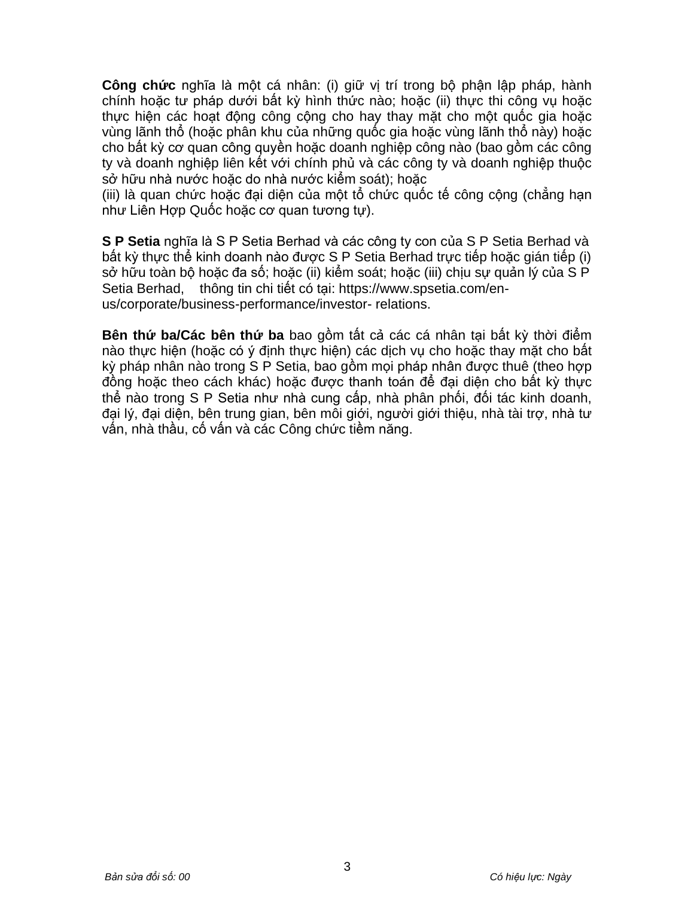**Công chức** nghĩa là một cá nhân: (i) giữ vị trí trong bộ phận lập pháp, hành chính hoặc tư pháp dưới bất kỳ hình thức nào; hoặc (ii) thực thi công vụ hoặc thực hiện các hoạt động công cộng cho hay thay mặt cho một quốc gia hoặc vùng lãnh thổ (hoặc phân khu của những quốc gia hoặc vùng lãnh thổ này) hoặc cho bất kỳ cơ quan công quyền hoặc doanh nghiệp công nào (bao gồm các công ty và doanh nghiệp liên kết với chính phủ và các công ty và doanh nghiệp thuộc sở hữu nhà nước hoặc do nhà nước kiểm soát); hoặc

(iii) là quan chức hoặc đại diện của một tổ chức quốc tế công cộng (chẳng hạn như Liên Hợp Quốc hoặc cơ quan tương tự).

**S P Setia** nghĩa là S P Setia Berhad và các công ty con của S P Setia Berhad và bất kỳ thực thể kinh doanh nào được S P Setia Berhad trực tiếp hoặc gián tiếp (i) sở hữu toàn bộ hoặc đa số; hoặc (ii) kiểm soát; hoặc (iii) chịu sự quản lý của S P Setia Berhad, thông tin chi tiết có tai: https:/[/www.spsetia.com/en](http://www.spsetia.com/en-us/corporate/business-performance/investor-)[us/corporate/business-performance/investor-](http://www.spsetia.com/en-us/corporate/business-performance/investor-) relations.

**Bên thứ ba/Các bên thứ ba** bao gồm tất cả các cá nhân tại bất kỳ thời điểm nào thực hiện (hoặc có ý định thực hiện) các dịch vụ cho hoặc thay mặt cho bất kỳ pháp nhân nào trong S P Setia, bao gồm mọi pháp nhân được thuê (theo hợp đồng hoặc theo cách khác) hoặc được thanh toán để đại diện cho bất kỳ thực thể nào trong S P Setia như nhà cung cấp, nhà phân phối, đối tác kinh doanh, đại lý, đại diện, bên trung gian, bên môi giới, người giới thiệu, nhà tài trợ, nhà tư vấn, nhà thầu, cố vấn và các Công chức tiềm năng.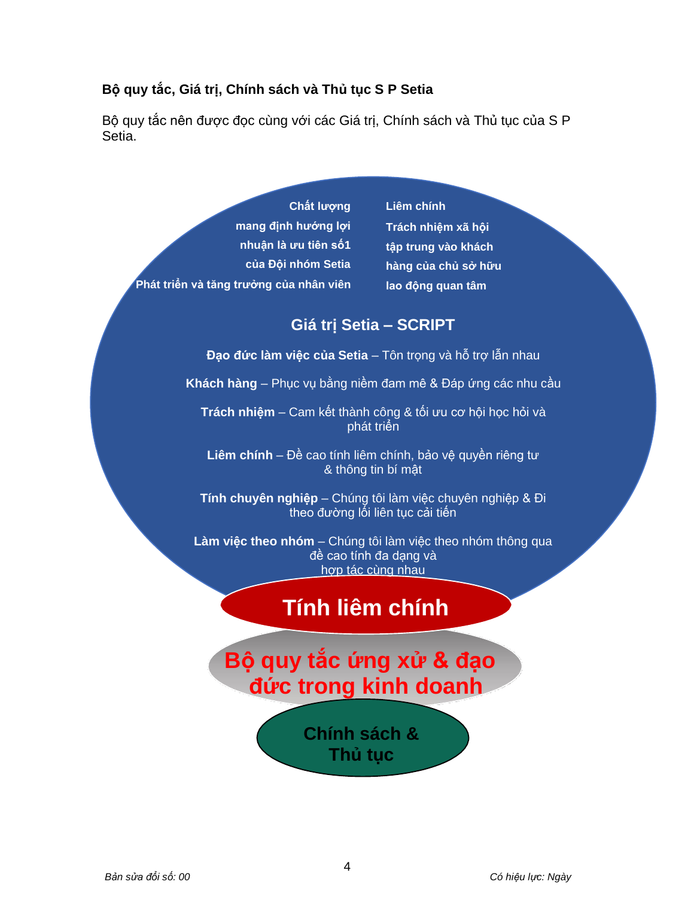# **Bộ quy tắc, Giá trị, Chính sách và Thủ tục S P Setia**

Bộ quy tắc nên được đọc cùng với các Giá trị, Chính sách và Thủ tục của S P Setia.

|                                         | Chất lượng           |
|-----------------------------------------|----------------------|
|                                         | mang định hướng lơi  |
|                                         | nhuận là ưu tiên số1 |
|                                         | của Đội nhóm Setia   |
| Phát triển và tăng trưởng của nhân viên |                      |

**Liêm chính Trách nhiệm xã hội tập trung vào khách hàng của chủ sở hữu lao động quan tâm**

# **Giá trị Setia – SCRIPT**

**Đạo đức làm việc của Setia** – Tôn trọng và hỗ trợ lẫn nhau

**Khách hàng** – Phục vụ bằng niềm đam mê & Đáp ứng các nhu cầu

**Trách nhiệm** – Cam kết thành công & tối ưu cơ hội học hỏi và phát triển

**Liêm chính** – Đề cao tính liêm chính, bảo vệ quyền riêng tư & thông tin bí mật

**Tính chuyên nghiệp** – Chúng tôi làm việc chuyên nghiệp & Đi theo đường lối liên tục cải tiến

**Làm việc theo nhóm** – Chúng tôi làm việc theo nhóm thông qua đề cao tính đa dạng và hợp tác cùng nhau

# **Tính liêm chính**

# **Bộ quy tắc ứng xử & đạo đức trong kinh doanh**

**Chính sách & Thủ tục**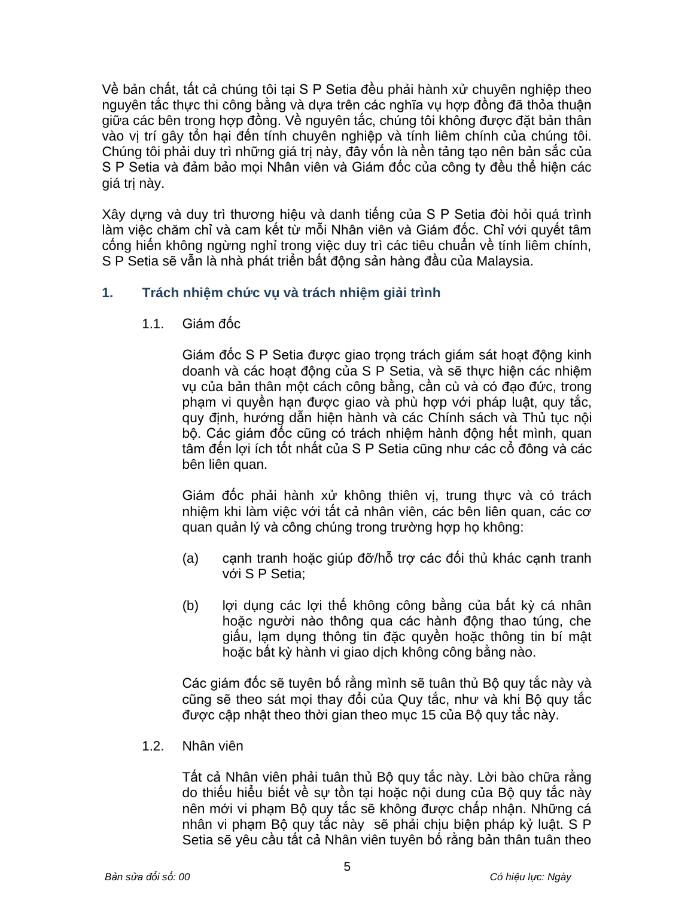Về bản chất, tất cả chúng tôi tại S P Setia đều phải hành xử chuyên nghiệp theo nguyên tắc thực thi công bằng và dựa trên các nghĩa vụ hợp đồng đã thỏa thuận giữa các bên trong hợp đồng. Về nguyên tắc, chúng tôi không được đặt bản thân vào vị trí gây tổn hại đến tính chuyên nghiệp và tính liêm chính của chúng tôi. Chúng tôi phải duy trì những giá trị này, đây vốn là nền tảng tạo nên bản sắc của S P Setia và đảm bảo mọi Nhân viên và Giám đốc của công ty đều thể hiện các giá trị này.

Xây dựng và duy trì thương hiệu và danh tiếng của S P Setia đòi hỏi quá trình làm việc chăm chỉ và cam kết từ mỗi Nhân viên và Giám đốc. Chỉ với quyết tâm cống hiến không ngừng nghỉ trong việc duy trì các tiêu chuẩn về tính liêm chính, S P Setia sẽ vẫn là nhà phát triển bất động sản hàng đầu của Malaysia.

# **1. Trách nhiệm chức vụ và trách nhiệm giải trình**

1.1. Giám đốc

Giám đốc S P Setia được giao trọng trách giám sát hoạt động kinh doanh và các hoạt động của S P Setia, và sẽ thực hiện các nhiệm vụ của bản thân một cách công bằng, cần cù và có đạo đức, trong phạm vi quyền hạn được giao và phù hợp với pháp luật, quy tắc, quy định, hướng dẫn hiện hành và các Chính sách và Thủ tục nội bộ. Các giám đốc cũng có trách nhiệm hành động hết mình, quan tâm đến lợi ích tốt nhất của S P Setia cũng như các cổ đông và các bên liên quan.

Giám đốc phải hành xử không thiên vị, trung thực và có trách nhiệm khi làm việc với tất cả nhân viên, các bên liên quan, các cơ quan quản lý và công chúng trong trường hợp họ không:

- (a) cạnh tranh hoặc giúp đỡ/hỗ trợ các đối thủ khác cạnh tranh với S P Setia;
- (b) lợi dụng các lợi thế không công bằng của bất kỳ cá nhân hoặc người nào thông qua các hành động thao túng, che giấu, lạm dụng thông tin đặc quyền hoặc thông tin bí mật hoặc bất kỳ hành vi giao dịch không công bằng nào.

Các giám đốc sẽ tuyên bố rằng mình sẽ tuân thủ Bộ quy tắc này và cũng sẽ theo sát mọi thay đổi của Quy tắc, như và khi Bộ quy tắc được cập nhật theo thời gian theo mục 15 của Bộ quy tắc này.

1.2. Nhân viên

Tất cả Nhân viên phải tuân thủ Bộ quy tắc này. Lời bào chữa rằng do thiếu hiểu biết về sự tồn tại hoặc nội dung của Bộ quy tắc này nên mới vi phạm Bộ quy tắc sẽ không được chấp nhận. Những cá nhân vi phạm Bộ quy tắc này sẽ phải chịu biện pháp kỷ luật. S P Setia sẽ yêu cầu tất cả Nhân viên tuyên bố rằng bản thân tuân theo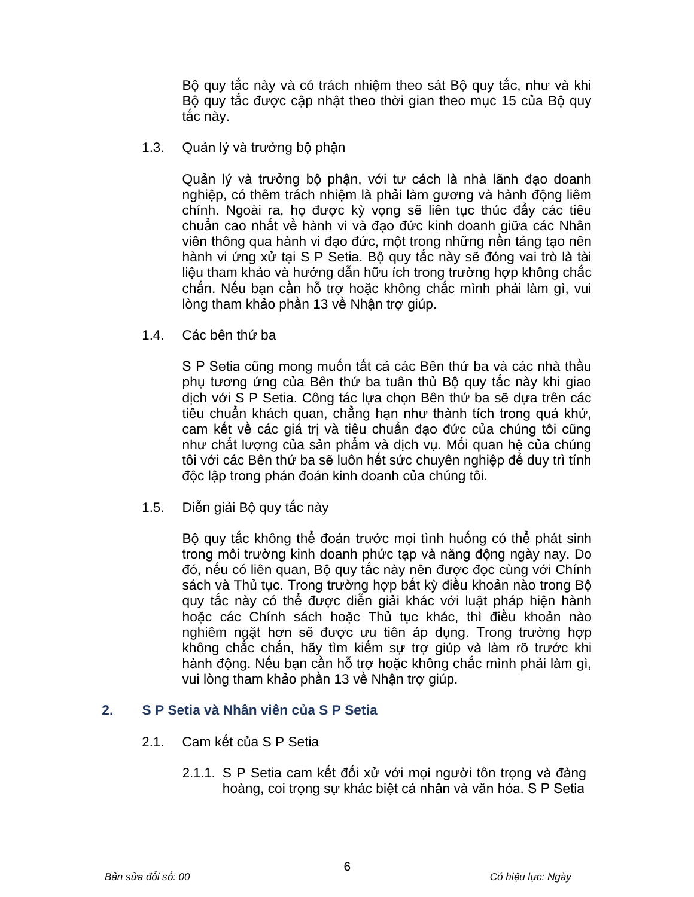Bộ quy tắc này và có trách nhiệm theo sát Bộ quy tắc, như và khi Bộ quy tắc được cập nhật theo thời gian theo mục 15 của Bộ quy tắc này.

1.3. Quản lý và trưởng bộ phận

Quản lý và trưởng bộ phận, với tư cách là nhà lãnh đạo doanh nghiệp, có thêm trách nhiệm là phải làm gương và hành động liêm chính. Ngoài ra, họ được kỳ vọng sẽ liên tục thúc đẩy các tiêu chuẩn cao nhất về hành vi và đạo đức kinh doanh giữa các Nhân viên thông qua hành vi đạo đức, một trong những nền tảng tạo nên hành vi ứng xử tại S P Setia. Bộ quy tắc này sẽ đóng vai trò là tài liệu tham khảo và hướng dẫn hữu ích trong trường hợp không chắc chắn. Nếu bạn cần hỗ trợ hoặc không chắc mình phải làm gì, vui lòng tham khảo phần 13 về Nhân trợ giúp.

1.4. Các bên thứ ba

S P Setia cũng mong muốn tất cả các Bên thứ ba và các nhà thầu phụ tương ứng của Bên thứ ba tuân thủ Bộ quy tắc này khi giao dịch với S P Setia. Công tác lưa chon Bên thứ ba sẽ dưa trên các tiêu chuẩn khách quan, chẳng hạn như thành tích trong quá khứ, cam kết về các giá trị và tiêu chuẩn đạo đức của chúng tôi cũng như chất lượng của sản phẩm và dịch vụ. Mối quan hệ của chúng tôi với các Bên thứ ba sẽ luôn hết sức chuyên nghiệp để duy trì tính độc lập trong phán đoán kinh doanh của chúng tôi.

1.5. Diễn giải Bộ quy tắc này

Bộ quy tắc không thể đoán trước mọi tình huống có thể phát sinh trong môi trường kinh doanh phức tạp và năng động ngày nay. Do đó, nếu có liên quan, Bộ quy tắc này nên được đọc cùng với Chính sách và Thủ tục. Trong trường hợp bất kỳ điều khoản nào trong Bộ quy tắc này có thể được diễn giải khác với luật pháp hiện hành hoặc các Chính sách hoặc Thủ tục khác, thì điều khoản nào nghiêm ngặt hơn sẽ được ưu tiên áp dụng. Trong trường hợp không chắc chắn, hãy tìm kiếm sự trợ giúp và làm rõ trước khi hành động. Nếu bạn cần hỗ trợ hoặc không chắc mình phải làm gì, vui lòng tham khảo phần 13 về Nhận trợ giúp.

## **2. S P Setia và Nhân viên của S P Setia**

- 2.1. Cam kết của S P Setia
	- 2.1.1. S P Setia cam kết đối xử với mọi người tôn trong và đàng hoàng, coi trong sự khác biệt cá nhân và văn hóa. S P Setia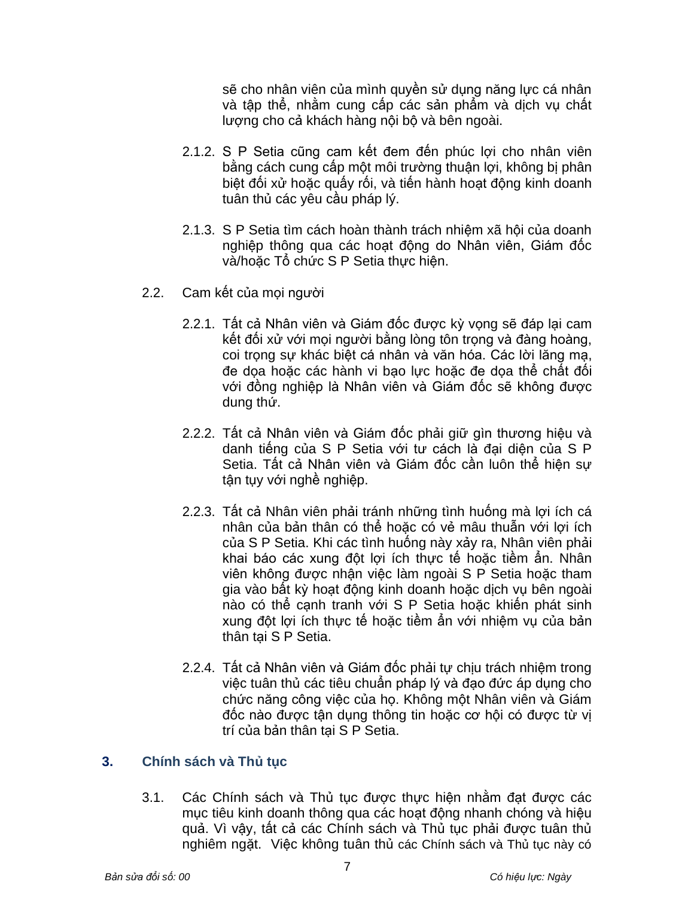sẽ cho nhân viên của mình quyền sử dụng năng lực cá nhân và tập thể, nhằm cung cấp các sản phẩm và dịch vụ chất lượng cho cả khách hàng nội bộ và bên ngoài.

- 2.1.2. S P Setia cũng cam kết đem đến phúc lợi cho nhân viên bằng cách cung cấp một môi trường thuận lợi, không bị phân biệt đối xử hoặc quấy rối, và tiến hành hoạt động kinh doanh tuân thủ các yêu cầu pháp lý.
- 2.1.3. S P Setia tìm cách hoàn thành trách nhiệm xã hội của doanh nghiệp thông qua các hoạt động do Nhân viên, Giám đốc và/hoặc Tổ chức S P Setia thực hiện.
- 2.2. Cam kết của mọi người
	- 2.2.1. Tất cả Nhân viên và Giám đốc được kỳ vong sẽ đáp lại cam kết đối xử với mọi người bằng lòng tôn trọng và đàng hoàng, coi trọng sự khác biệt cá nhân và văn hóa. Các lời lăng mạ, đe dọa hoặc các hành vi bạo lực hoặc đe dọa thể chất đối với đồng nghiệp là Nhân viên và Giám đốc sẽ không được dung thứ.
	- 2.2.2. Tất cả Nhân viên và Giám đốc phải giữ gìn thương hiệu và danh tiếng của S P Setia với tư cách là đại diện của S P Setia. Tất cả Nhân viên và Giám đốc cần luôn thể hiện sự tận tụy với nghề nghiệp.
	- 2.2.3. Tất cả Nhân viên phải tránh những tình huống mà lợi ích cá nhân của bản thân có thể hoặc có vẻ mâu thuẫn với lợi ích của S P Setia. Khi các tình huống này xảy ra, Nhân viên phải khai báo các xung đột lợi ích thực tế hoặc tiềm ẩn. Nhân viên không được nhận việc làm ngoài S P Setia hoặc tham gia vào bất kỳ hoạt động kinh doanh hoặc dịch vụ bên ngoài nào có thể cạnh tranh với S P Setia hoặc khiến phát sinh xung đột lợi ích thực tế hoặc tiềm ẩn với nhiệm vụ của bản thân tại S P Setia.
	- 2.2.4. Tất cả Nhân viên và Giám đốc phải tự chịu trách nhiệm trong việc tuân thủ các tiêu chuẩn pháp lý và đạo đức áp dụng cho chức năng công việc của họ. Không một Nhân viên và Giám đốc nào được tận dụng thông tin hoặc cơ hội có được từ vị trí của bản thân tai S P Setia.

# **3. Chính sách và Thủ tục**

3.1. Các Chính sách và Thủ tục được thực hiện nhằm đạt được các mục tiêu kinh doanh thông qua các hoạt động nhanh chóng và hiệu quả. Vì vậy, tất cả các Chính sách và Thủ tục phải được tuân thủ nghiêm ngặt. Việc không tuân thủ các Chính sách và Thủ tục này có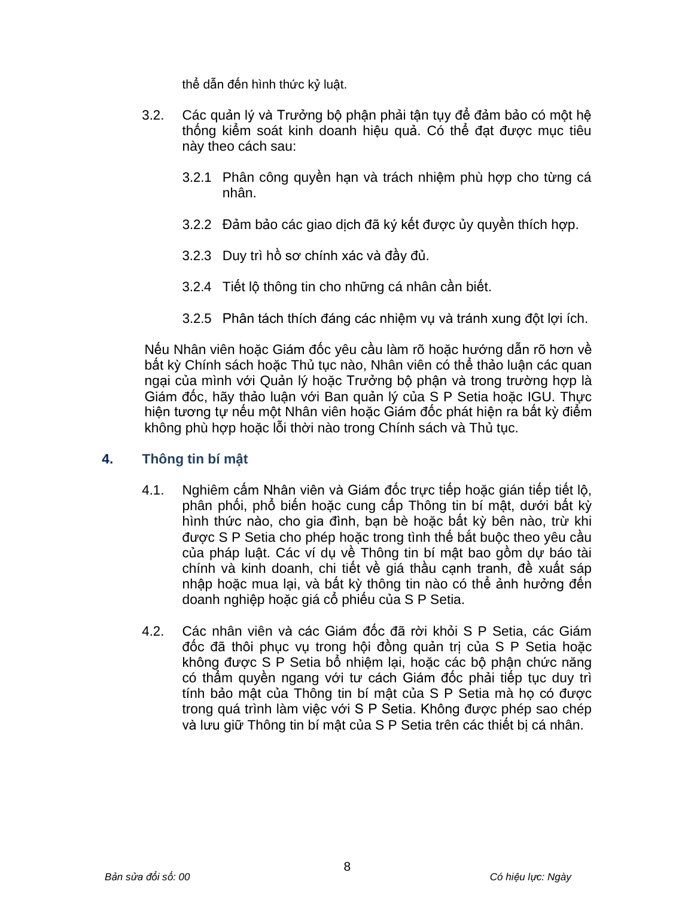thể dẫn đến hình thức kỷ luật.

- 3.2. Các quản lý và Trưởng bộ phận phải tận tụy để đảm bảo có một hệ thống kiểm soát kinh doanh hiệu quả. Có thể đạt được mục tiêu này theo cách sau:
	- 3.2.1 Phân công quyền hạn và trách nhiệm phù hợp cho từng cá nhân.
	- 3.2.2 Đảm bảo các giao dịch đã ký kết được ủy quyền thích hợp.
	- 3.2.3 Duy trì hồ sơ chính xác và đầy đủ.
	- 3.2.4 Tiết lộ thông tin cho những cá nhân cần biết.
	- 3.2.5 Phân tách thích đáng các nhiệm vụ và tránh xung đột lợi ích.

Nếu Nhân viên hoặc Giám đốc yêu cầu làm rõ hoặc hướng dẫn rõ hơn về bất kỳ Chính sách hoặc Thủ tục nào, Nhân viên có thể thảo luận các quan ngại của mình với Quản lý hoặc Trưởng bộ phân và trong trường hợp là Giám đốc, hãy thảo luận với Ban quản lý của S P Setia hoặc IGU. Thực hiện tương tư nếu một Nhân viên hoặc Giám đốc phát hiện ra bất kỳ điểm không phù hợp hoặc lỗi thời nào trong Chính sách và Thủ tục.

# **4. Thông tin bí mật**

- 4.1. Nghiêm cấm Nhân viên và Giám đốc trực tiếp hoặc gián tiếp tiết lộ, phân phối, phổ biến hoặc cung cấp Thông tin bí mật, dưới bất kỳ hình thức nào, cho gia đình, bạn bè hoặc bất kỳ bên nào, trừ khi được S P Setia cho phép hoặc trong tình thế bắt buộc theo yêu cầu của pháp luật. Các ví dụ về Thông tin bí mật bao gồm dự báo tài chính và kinh doanh, chi tiết về giá thầu cạnh tranh, đề xuất sáp nhập hoặc mua lại, và bất kỳ thông tin nào có thể ảnh hưởng đến doanh nghiệp hoặc giá cổ phiếu của S P Setia.
- 4.2. Các nhân viên và các Giám đốc đã rời khỏi S P Setia, các Giám đốc đã thôi phục vụ trong hội đồng quản trị của S P Setia hoặc không được S P Setia bổ nhiệm lại, hoặc các bộ phận chức năng có thẩm quyền ngang với tư cách Giám đốc phải tiếp tục duy trì tính bảo mật của Thông tin bí mật của S P Setia mà họ có được trong quá trình làm việc với S P Setia. Không được phép sao chép và lưu giữ Thông tin bí mật của S P Setia trên các thiết bị cá nhân.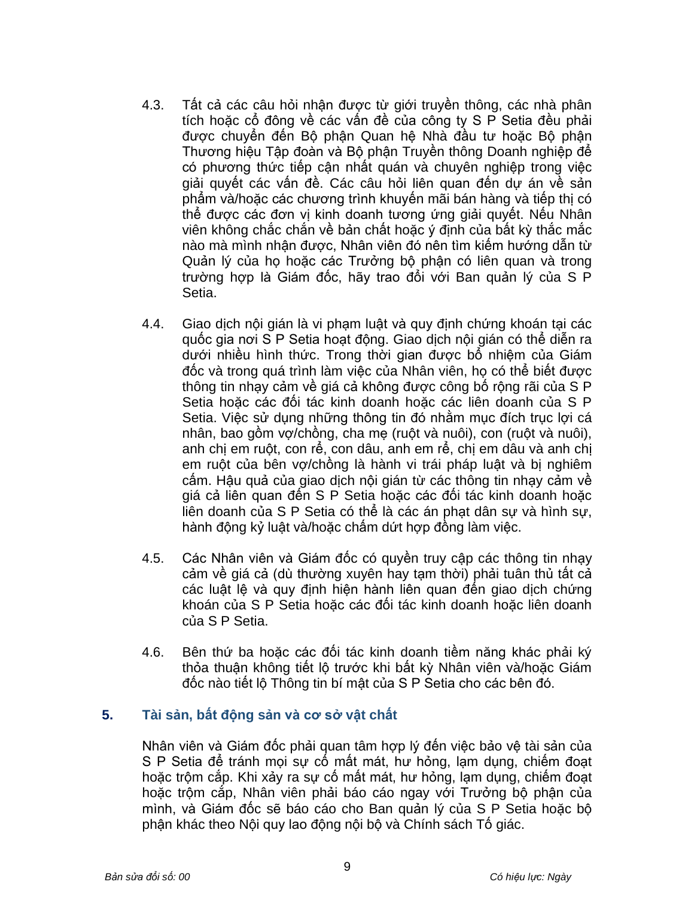- 4.3. Tất cả các câu hỏi nhận được từ giới truyền thông, các nhà phân tích hoặc cổ đông về các vấn đề của công ty S P Setia đều phải được chuyển đến Bộ phận Quan hệ Nhà đầu tư hoặc Bộ phận Thương hiệu Tập đoàn và Bộ phận Truyền thông Doanh nghiệp để có phương thức tiếp cận nhất quán và chuyên nghiệp trong việc giải quyết các vấn đề. Các câu hỏi liên quan đến dự án về sản phẩm và/hoặc các chương trình khuyến mãi bán hàng và tiếp thị có thể được các đơn vị kinh doanh tương ứng giải quyết. Nếu Nhân viên không chắc chắn về bản chất hoặc ý định của bất kỳ thắc mắc nào mà mình nhận được, Nhân viên đó nên tìm kiếm hướng dẫn từ Quản lý của họ hoặc các Trưởng bộ phận có liên quan và trong trường hợp là Giám đốc, hãy trao đổi với Ban quản lý của S P Setia.
- 4.4. Giao dịch nội gián là vị phạm luật và quy định chứng khoán tại các quốc gia nơi S P Setia hoạt động. Giao dịch nội gián có thể diễn ra dưới nhiều hình thức. Trong thời gian được bổ nhiệm của Giám đốc và trong quá trình làm việc của Nhân viên, họ có thể biết được thông tin nhạy cảm về giá cả không được công bố rộng rãi của S P Setia hoặc các đối tác kinh doanh hoặc các liên doanh của S P Setia. Việc sử dụng những thông tin đó nhằm mục đích trục lợi cá nhân, bao gồm vợ/chồng, cha mẹ (ruột và nuôi), con (ruột và nuôi), anh chị em ruột, con rể, con dâu, anh em rể, chị em dâu và anh chị em ruột của bên vợ/chồng là hành vi trái pháp luật và bị nghiêm cấm. Hậu quả của giao dịch nội gián từ các thông tin nhạy cảm về giá cả liên quan đến S P Setia hoặc các đối tác kinh doanh hoặc liên doanh của S P Setia có thể là các án phạt dân sự và hình sự, hành động kỷ luật và/hoặc chấm dứt hợp đồng làm việc.
- 4.5. Các Nhân viên và Giám đốc có quyền truy cập các thông tin nhạy cảm về giá cả (dù thường xuyên hay tạm thời) phải tuân thủ tất cả các luật lệ và quy định hiện hành liên quan đến giao dịch chứng khoán của S P Setia hoặc các đối tác kinh doanh hoặc liên doanh của S P Setia.
- 4.6. Bên thứ ba hoặc các đối tác kinh doanh tiềm năng khác phải ký thỏa thuận không tiết lộ trước khi bất kỳ Nhân viên và/hoặc Giám đốc nào tiết lộ Thông tin bí mật của S P Setia cho các bên đó.

# **5. Tài sản, bất động sản và cơ sở vật chất**

Nhân viên và Giám đốc phải quan tâm hợp lý đến việc bảo vệ tài sản của S P Setia để tránh mọi sự cố mất mát, hư hỏng, lạm dụng, chiếm đoạt hoặc trộm cắp. Khi xảy ra sự cố mất mát, hư hỏng, lạm dụng, chiếm đoạt hoặc trộm cắp, Nhân viên phải báo cáo ngay với Trưởng bộ phận của mình, và Giám đốc sẽ báo cáo cho Ban quản lý của S P Setia hoặc bộ phận khác theo Nội quy lao động nội bộ và Chính sách Tố giác.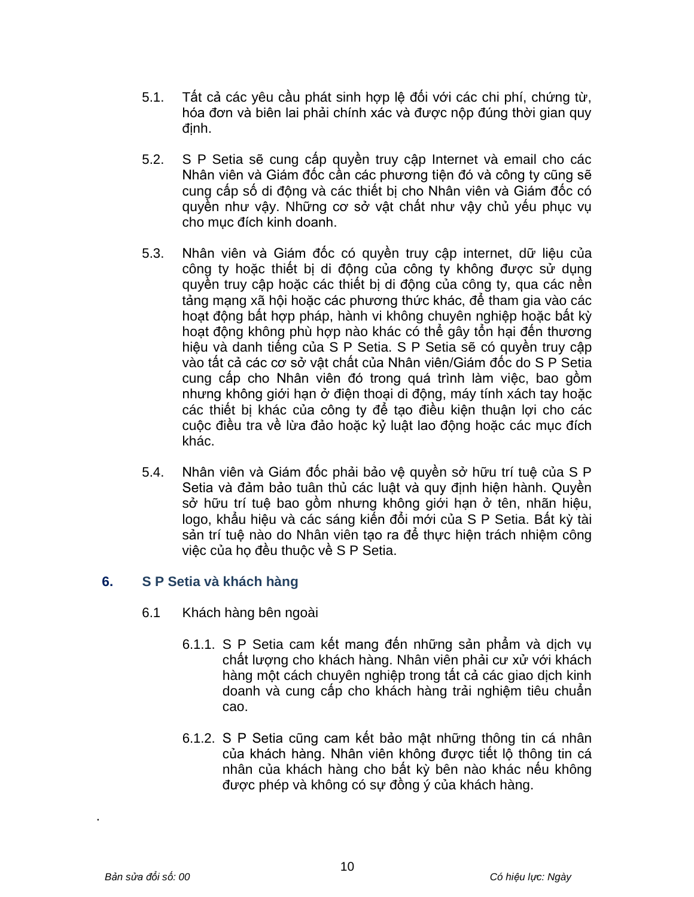- 5.1. Tất cả các yêu cầu phát sinh hợp lệ đối với các chi phí, chứng từ, hóa đơn và biên lai phải chính xác và được nộp đúng thời gian quy định.
- 5.2. S P Setia sẽ cung cấp quyền truy cập Internet và email cho các Nhân viên và Giám đốc cần các phương tiện đó và công ty cũng sẽ cung cấp số di động và các thiết bị cho Nhân viên và Giám đốc có quyền như vậy. Những cơ sở vật chất như vậy chủ yếu phục vụ cho mục đích kinh doanh.
- 5.3. Nhân viên và Giám đốc có quyền truy cập internet, dữ liệu của công ty hoặc thiết bị di động của công ty không được sử dụng quyền truy cập hoặc các thiết bị di động của công ty, qua các nền tảng mạng xã hội hoặc các phương thức khác, để tham gia vào các hoạt động bất hợp pháp, hành vi không chuyên nghiệp hoặc bất kỳ hoạt động không phù hợp nào khác có thể gây tổn hại đến thương hiệu và danh tiếng của S P Setia. S P Setia sẽ có quyền truy cập vào tất cả các cơ sở vật chất của Nhân viên/Giám đốc do S P Setia cung cấp cho Nhân viên đó trong quá trình làm việc, bao gồm nhưng không giới hạn ở điện thoại di động, máy tính xách tay hoặc các thiết bị khác của công ty để tạo điều kiện thuận lợi cho các cuộc điều tra về lừa đảo hoặc kỷ luật lao động hoặc các mục đích khác.
- 5.4. Nhân viên và Giám đốc phải bảo vệ quyền sở hữu trí tuệ của S P Setia và đảm bảo tuân thủ các luật và quy định hiện hành. Quyền sở hữu trí tuệ bao gồm nhưng không giới hạn ở tên, nhãn hiệu, logo, khẩu hiệu và các sáng kiến đổi mới của S P Setia. Bất kỳ tài sản trí tuệ nào do Nhân viên tạo ra để thực hiện trách nhiệm công việc của họ đều thuộc về S P Setia.

# **6. S P Setia và khách hàng**

- 6.1 Khách hàng bên ngoài
	- 6.1.1. S P Setia cam kết mang đến những sản phẩm và dịch vụ chất lượng cho khách hàng. Nhân viên phải cư xử với khách hàng một cách chuyên nghiệp trong tất cả các giao dịch kinh doanh và cung cấp cho khách hàng trải nghiệm tiêu chuẩn cao.
	- 6.1.2. S P Setia cũng cam kết bảo mật những thông tin cá nhân của khách hàng. Nhân viên không được tiết lộ thông tin cá nhân của khách hàng cho bất kỳ bên nào khác nếu không được phép và không có sự đồng ý của khách hàng.

.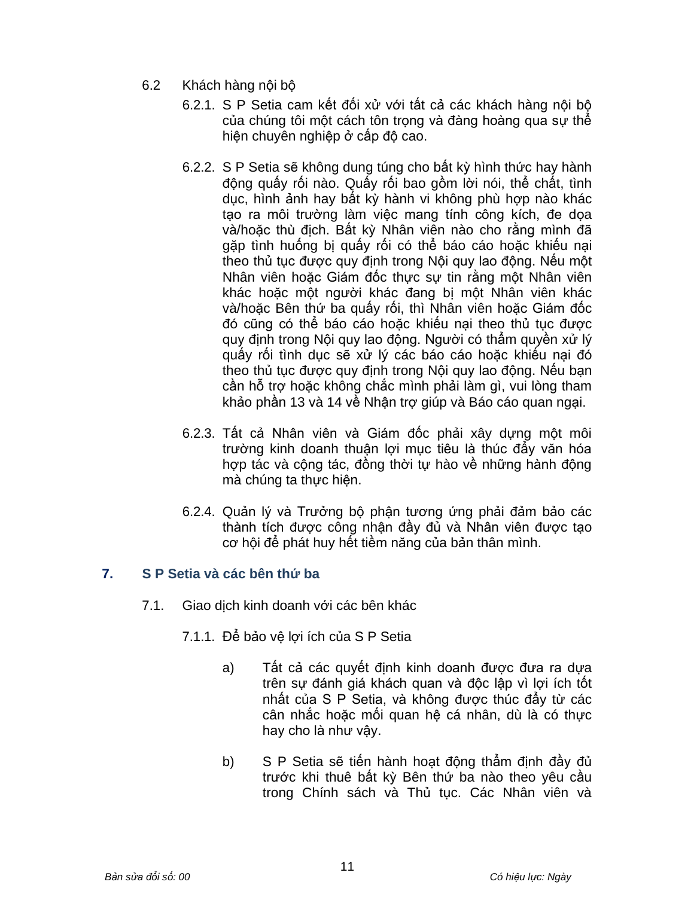- 6.2 Khách hàng nội bộ
	- 6.2.1. S P Setia cam kết đối xử với tất cả các khách hàng nội bộ của chúng tôi một cách tôn trọng và đàng hoàng qua sự thể hiện chuyên nghiệp ở cấp độ cao.
	- 6.2.2. S P Setia sẽ không dung túng cho bất kỳ hình thức hay hành động quấy rối nào. Quấy rối bao gồm lời nói, thể chất, tình dục, hình ảnh hay bất kỳ hành vi không phù hợp nào khác tạo ra môi trường làm việc mang tính công kích, đe dọa và/hoặc thù địch. Bất kỳ Nhân viên nào cho rằng mình đã gặp tình huống bị quấy rối có thể báo cáo hoặc khiếu nại theo thủ tục được quy định trong Nội quy lao động. Nếu một Nhân viên hoặc Giám đốc thực sự tin rằng một Nhân viên khác hoặc một người khác đang bị một Nhân viên khác và/hoặc Bên thứ ba quấy rối, thì Nhân viên hoặc Giám đốc đó cũng có thể báo cáo hoặc khiếu nại theo thủ tục được quy định trong Nội quy lao động. Người có thẩm quyền xử lý quấy rối tình dục sẽ xử lý các báo cáo hoặc khiếu nại đó theo thủ tục được quy định trong Nội quy lao động. Nếu bạn cần hỗ trợ hoặc không chắc mình phải làm gì, vui lòng tham khảo phần 13 và 14 về Nhận trợ giúp và Báo cáo quan ngại.
	- 6.2.3. Tất cả Nhân viên và Giám đốc phải xây dựng một môi trường kinh doanh thuận lợi mục tiêu là thúc đẩy văn hóa hợp tác và cộng tác, đồng thời tự hào về những hành động mà chúng ta thực hiện.
	- 6.2.4. Quản lý và Trưởng bộ phận tương ứng phải đảm bảo các thành tích được công nhận đầy đủ và Nhân viên được tạo cơ hội để phát huy hết tiềm năng của bản thân mình.

# **7. S P Setia và các bên thứ ba**

- 7.1. Giao dịch kinh doanh với các bên khác
	- 7.1.1. Để bảo vệ lợi ích của S P Setia
		- a) Tất cả các quyết định kinh doanh được đưa ra dựa trên sự đánh giá khách quan và độc lập vì lợi ích tốt nhất của S P Setia, và không được thúc đẩy từ các cân nhắc hoặc mối quan hệ cá nhân, dù là có thực hay cho là như vậy.
		- b) S P Setia sẽ tiến hành hoạt đông thẩm định đầy đủ trước khi thuê bất kỳ Bên thứ ba nào theo yêu cầu trong Chính sách và Thủ tục. Các Nhân viên và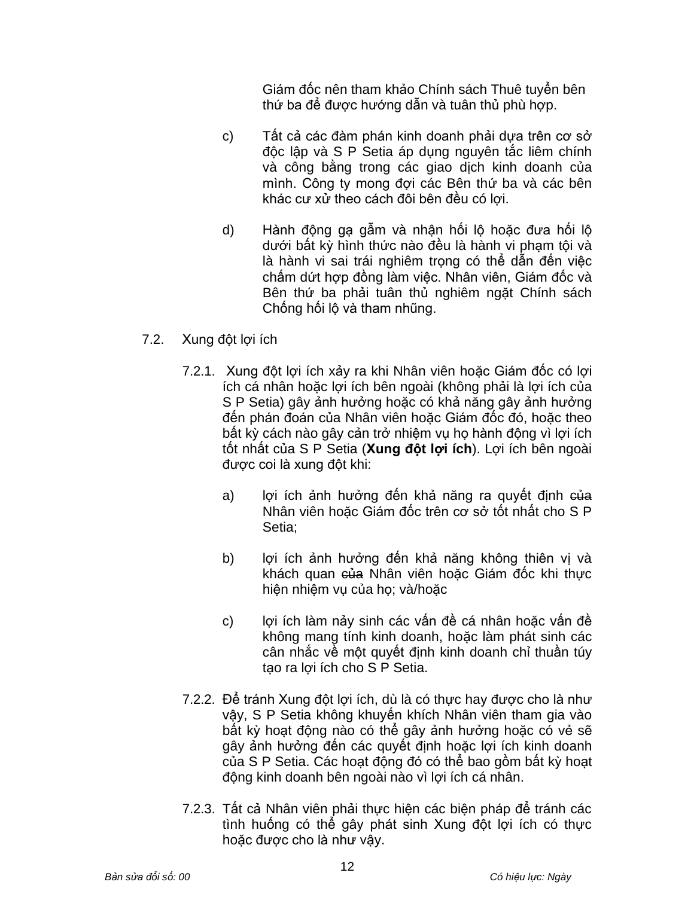Giám đốc nên tham khảo Chính sách Thuê tuyển bên thứ ba để được hướng dẫn và tuân thủ phù hợp.

- c) Tất cả các đàm phán kinh doanh phải dựa trên cơ sở độc lập và S P Setia áp dụng nguyên tắc liêm chính và công bằng trong các giao dịch kinh doanh của mình. Công ty mong đợi các Bên thứ ba và các bên khác cư xử theo cách đôi bên đều có lợi.
- d) Hành động gạ gẫm và nhận hối lộ hoặc đưa hối lộ dưới bất kỳ hình thức nào đều là hành vi phạm tội và là hành vi sai trái nghiêm trọng có thể dẫn đến việc chấm dứt hợp đồng làm việc. Nhân viên, Giám đốc và Bên thứ ba phải tuân thủ nghiêm ngặt Chính sách Chống hối lộ và tham nhũng.
- 7.2. Xung đột lợi ích
	- 7.2.1. Xung đột lợi ích xảy ra khi Nhân viên hoặc Giám đốc có lợi ích cá nhân hoặc lợi ích bên ngoài (không phải là lợi ích của S P Setia) gây ảnh hưởng hoặc có khả năng gây ảnh hưởng đến phán đoán của Nhân viên hoặc Giám đốc đó, hoặc theo bất kỳ cách nào gây cản trở nhiệm vụ họ hành động vì lợi ích tốt nhất của S P Setia (**Xung đột lợi ích**). Lợi ích bên ngoài được coi là xung đột khi:
		- a) lợi ích ảnh hưởng đến khả năng ra quyết định của Nhân viên hoặc Giám đốc trên cơ sở tốt nhất cho S P Setia;
		- b) lợi ích ảnh hưởng đến khả năng không thiên vị và khách quan <del>của</del> Nhân viên hoặc Giám đốc khi thưc hiện nhiệm vụ của họ; và/hoặc
		- c) lợi ích làm nảy sinh các vấn đề cá nhân hoặc vấn đề không mang tính kinh doanh, hoặc làm phát sinh các cân nhắc về một quyết định kinh doanh chỉ thuần túy tạo ra lợi ích cho S P Setia.
	- 7.2.2. Để tránh Xung đột lợi ích, dù là có thực hay được cho là như vậy, S P Setia không khuyến khích Nhân viên tham gia vào bất kỳ hoạt động nào có thể gây ảnh hưởng hoặc có vẻ sẽ gây ảnh hưởng đến các quyết định hoặc lợi ích kinh doanh của S P Setia. Các hoạt động đó có thể bao gồm bất kỳ hoạt động kinh doanh bên ngoài nào vì lợi ích cá nhân.
	- 7.2.3. Tất cả Nhân viên phải thực hiện các biện pháp để tránh các tình huống có thể gây phát sinh Xung đột lợi ích có thực hoặc được cho là như vậy.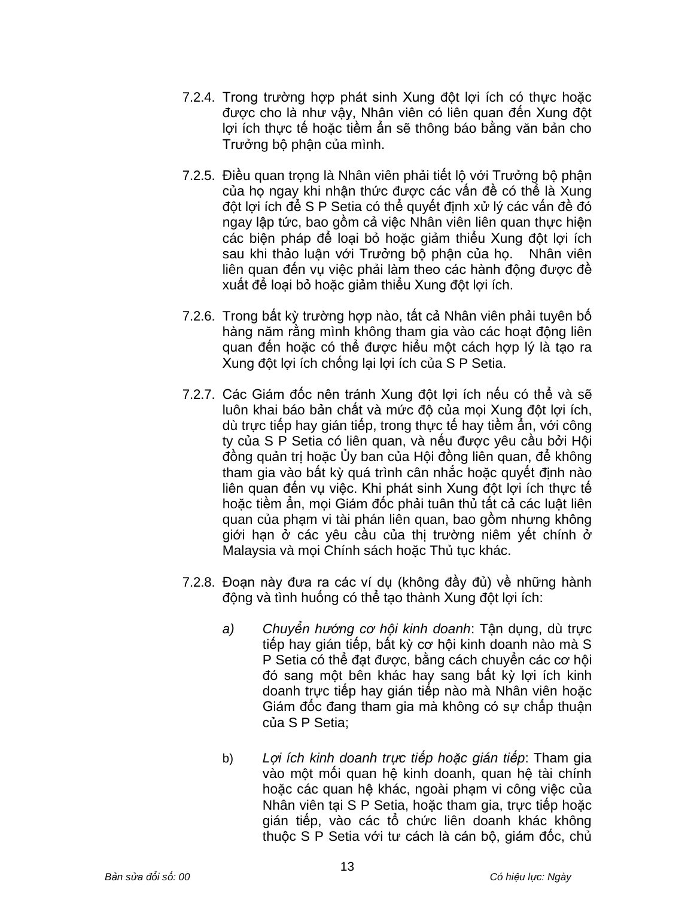- 7.2.4. Trong trường hợp phát sinh Xung đột lợi ích có thực hoặc được cho là như vậy, Nhân viên có liên quan đến Xung đột lợi ích thực tế hoặc tiềm ẩn sẽ thông báo bằng văn bản cho Trưởng bộ phận của mình.
- 7.2.5. Điều quan trọng là Nhân viên phải tiết lộ với Trưởng bộ phận của họ ngay khi nhận thức được các vấn đề có thể là Xung đột lợi ích để S P Setia có thể quyết định xử lý các vấn đề đó ngay lập tức, bao gồm cả việc Nhân viên liên quan thực hiện các biện pháp để loại bỏ hoặc giảm thiểu Xung đột lợi ích sau khi thảo luận với Trưởng bô phân của họ. Nhân viên liên quan đến vụ việc phải làm theo các hành động được đề xuất để loại bỏ hoặc giảm thiểu Xung đột lợi ích.
- 7.2.6. Trong bất kỳ trường hợp nào, tất cả Nhân viên phải tuyên bố hàng năm rằng mình không tham gia vào các hoạt đông liên quan đến hoặc có thể được hiểu một cách hợp lý là tạo ra Xung đột lợi ích chống lại lợi ích của S P Setia.
- 7.2.7. Các Giám đốc nên tránh Xung đột lợi ích nếu có thể và sẽ luôn khai báo bản chất và mức độ của mọi Xung đột lợi ích, dù trực tiếp hay gián tiếp, trong thực tế hay tiềm ẩn, với công ty của S P Setia có liên quan, và nếu được yêu cầu bởi Hội đồng quản trị hoặc Ủy ban của Hội đồng liên quan, để không tham gia vào bất kỳ quá trình cân nhắc hoặc quyết định nào liên quan đến vụ việc. Khi phát sinh Xung đột lợi ích thực tế hoặc tiềm ẩn, mọi Giám đốc phải tuân thủ tất cả các luật liên quan của phạm vi tài phán liên quan, bao gồm nhưng không giới hạn ở các yêu cầu của thị trường niêm yết chính ở Malaysia và mọi Chính sách hoặc Thủ tục khác.
- 7.2.8. Đoạn này đưa ra các ví dụ (không đầy đủ) về những hành động và tình huống có thể tạo thành Xung đột lợi ích:
	- *a) Chuyển hướng cơ hội kinh doanh*: Tận dụng, dù trực tiếp hay gián tiếp, bất kỳ cơ hội kinh doanh nào mà S P Setia có thể đạt được, bằng cách chuyển các cơ hội đó sang một bên khác hay sang bất kỳ lợi ích kinh doanh trực tiếp hay gián tiếp nào mà Nhân viên hoặc Giám đốc đang tham gia mà không có sự chấp thuận của S P Setia;
	- b) *Lợi ích kinh doanh trực tiếp hoặc gián tiếp*: Tham gia vào một mối quan hệ kinh doanh, quan hệ tài chính hoặc các quan hệ khác, ngoài phạm vi công việc của Nhân viên tại S P Setia, hoặc tham gia, trực tiếp hoặc gián tiếp, vào các tổ chức liên doanh khác không thuộc S P Setia với tư cách là cán bộ, giám đốc, chủ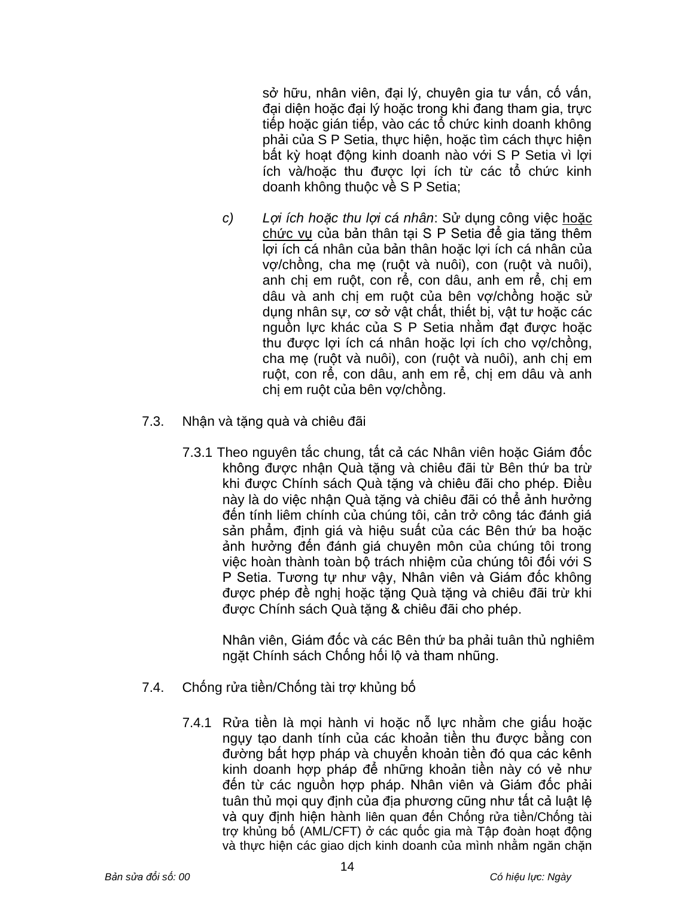sở hữu, nhân viên, đại lý, chuyên gia tư vấn, cố vấn, đại diện hoặc đại lý hoặc trong khi đang tham gia, trực tiếp hoặc gián tiếp, vào các tổ chức kinh doanh không phải của S P Setia, thực hiện, hoặc tìm cách thực hiện bất kỳ hoạt động kinh doanh nào với S P Setia vì lợi ích và/hoặc thu được lợi ích từ các tổ chức kinh doanh không thuộc về S P Setia;

- *c) Lợi ích hoặc thu lợi cá nhân*: Sử dụng công việc hoặc chức vụ của bản thân tại S P Setia để gia tăng thêm lợi ích cá nhân của bản thân hoặc lợi ích cá nhân của vợ/chồng, cha mẹ (ruột và nuôi), con (ruột và nuôi), anh chị em ruột, con rể, con dâu, anh em rể, chị em dâu và anh chi em ruột của bên vợ/chồng hoặc sử dụng nhân sự, cơ sở vật chất, thiết bị, vật tư hoặc các nguồn lực khác của S P Setia nhằm đạt được hoặc thu được lợi ích cá nhân hoặc lợi ích cho vợ/chồng, cha mẹ (ruột và nuôi), con (ruột và nuôi), anh chị em ruột, con rể, con dâu, anh em rể, chị em dâu và anh chị em ruột của bên vợ/chồng.
- 7.3. Nhận và tặng quà và chiêu đãi
	- 7.3.1 Theo nguyên tắc chung, tất cả các Nhân viên hoặc Giám đốc không được nhận Quà tặng và chiêu đãi từ Bên thứ ba trừ khi được Chính sách Quà tặng và chiêu đãi cho phép. Điều này là do việc nhận Quà tặng và chiêu đãi có thể ảnh hưởng đến tính liêm chính của chúng tôi, cản trở công tác đánh giá sản phẩm, định giá và hiệu suất của các Bên thứ ba hoặc ảnh hưởng đến đánh giá chuyên môn của chúng tôi trong việc hoàn thành toàn bộ trách nhiệm của chúng tôi đối với S P Setia. Tương tự như vậy, Nhân viên và Giám đốc không được phép đề nghị hoặc tặng Quà tặng và chiêu đãi trừ khi được Chính sách Quà tặng & chiêu đãi cho phép.

Nhân viên, Giám đốc và các Bên thứ ba phải tuân thủ nghiêm ngặt Chính sách Chống hối lộ và tham nhũng.

- 7.4. Chống rửa tiền/Chống tài trợ khủng bố
	- 7.4.1 Rửa tiền là mọi hành vi hoặc nỗ lực nhằm che giấu hoặc ngụy tạo danh tính của các khoản tiền thu được bằng con đường bất hợp pháp và chuyển khoản tiền đó qua các kênh kinh doanh hợp pháp để những khoản tiền này có vẻ như đến từ các nguồn hợp pháp. Nhân viên và Giám đốc phải tuân thủ mọi quy định của địa phương cũng như tất cả luật lệ và quy định hiện hành liên quan đến Chống rửa tiền/Chống tài trợ khủng bố (AML/CFT) ở các quốc gia mà Tập đoàn hoạt động và thực hiện các giao dịch kinh doanh của mình nhằm ngăn chặn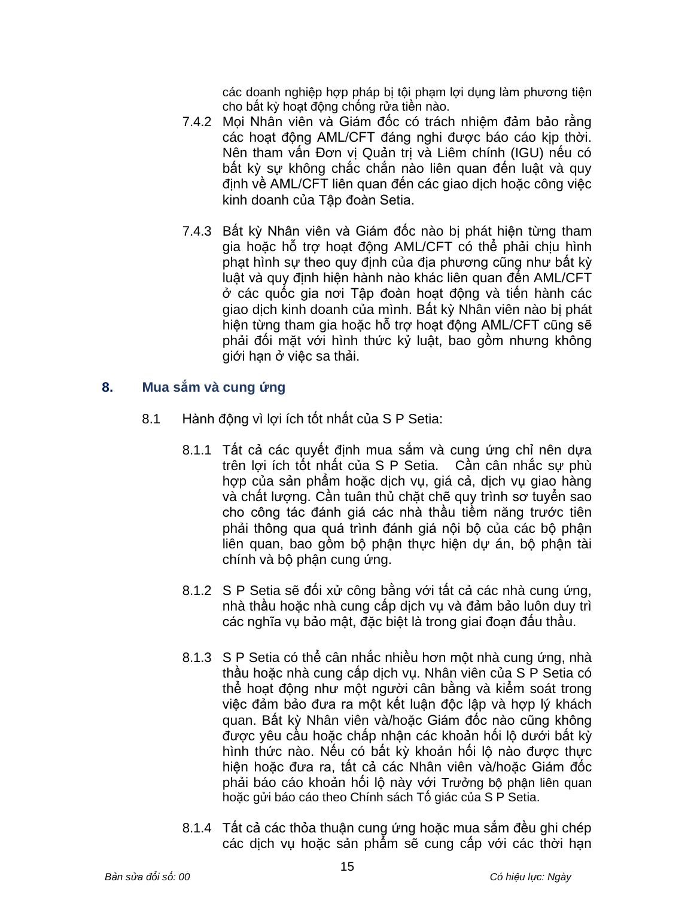các doanh nghiệp hợp pháp bị tội phạm lợi dụng làm phương tiện cho bất kỳ hoạt động chống rửa tiền nào.

- 7.4.2 Mọi Nhân viên và Giám đốc có trách nhiệm đảm bảo rằng các hoạt động AML/CFT đáng nghi được báo cáo kịp thời. Nên tham vấn Đơn vị Quản trị và Liêm chính (IGU) nếu có bất kỳ sự không chắc chắn nào liên quan đến luật và quy định về AML/CFT liên quan đến các giao dịch hoặc công việc kinh doanh của Tập đoàn Setia.
- 7.4.3 Bất kỳ Nhân viên và Giám đốc nào bị phát hiện từng tham gia hoặc hỗ trợ hoạt động AML/CFT có thể phải chịu hình phạt hình sự theo quy định của địa phương cũng như bất kỳ luật và quy định hiện hành nào khác liên quan đến AML/CFT ở các quốc gia nơi Tập đoàn hoạt động và tiến hành các giao dịch kinh doanh của mình. Bất kỳ Nhân viên nào bị phát hiện từng tham gia hoặc hỗ trợ hoạt động AML/CFT cũng sẽ phải đối mặt với hình thức kỷ luật, bao gồm nhưng không giới hạn ở việc sa thải.

#### **8. Mua sắm và cung ứng**

- 8.1 Hành động vì lợi ích tốt nhất của S P Setia:
	- 8.1.1 Tất cả các quyết định mua sắm và cung ứng chỉ nên dựa trên lợi ích tốt nhất của S P Setia. Cần cân nhắc sự phù hợp của sản phẩm hoặc dịch vụ, giá cả, dịch vụ giao hàng và chất lượng. Cần tuân thủ chặt chẽ quy trình sơ tuyển sao cho công tác đánh giá các nhà thầu tiềm năng trước tiên phải thông qua quá trình đánh giá nội bộ của các bộ phận liên quan, bao gồm bộ phận thực hiện dự án, bộ phận tài chính và bộ phận cung ứng.
	- 8.1.2 S P Setia sẽ đối xử công bằng với tất cả các nhà cung ứng, nhà thầu hoặc nhà cung cấp dịch vụ và đảm bảo luôn duy trì các nghĩa vụ bảo mật, đặc biệt là trong giai đoạn đấu thầu.
	- 8.1.3 S P Setia có thể cân nhắc nhiều hơn một nhà cung ứng, nhà thầu hoặc nhà cung cấp dịch vụ. Nhân viên của S P Setia có thể hoạt động như một người cân bằng và kiểm soát trong việc đảm bảo đưa ra một kết luận độc lập và hợp lý khách quan. Bất kỳ Nhân viên và/hoặc Giám đốc nào cũng không được yêu cầu hoặc chấp nhận các khoản hối lộ dưới bất kỳ hình thức nào. Nếu có bất kỳ khoản hối lộ nào được thực hiện hoặc đưa ra, tất cả các Nhân viên và/hoặc Giám đốc phải báo cáo khoản hối lộ này với Trưởng bộ phận liên quan hoặc gửi báo cáo theo Chính sách Tố giác của S P Setia.
	- 8.1.4 Tất cả các thỏa thuận cung ứng hoặc mua sắm đều ghi chép các dịch vụ hoặc sản phẩm sẽ cung cấp với các thời hạn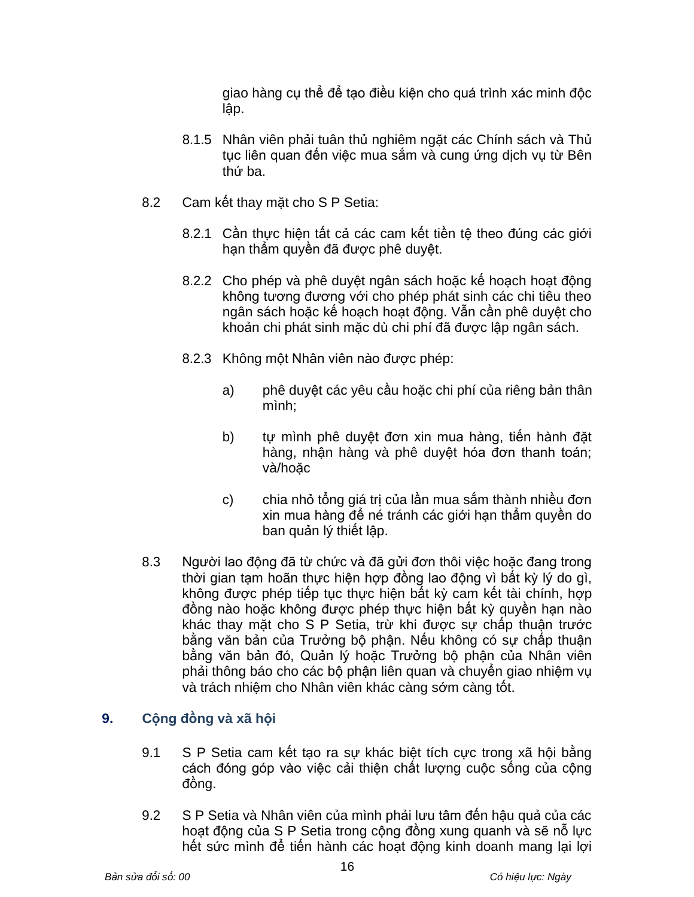giao hàng cụ thể để tạo điều kiện cho quá trình xác minh độc lập.

- 8.1.5 Nhân viên phải tuân thủ nghiêm ngặt các Chính sách và Thủ tục liên quan đến việc mua sắm và cung ứng dịch vụ từ Bên thứ ba.
- 8.2 Cam kết thay mặt cho S P Setia:
	- 8.2.1 Cần thực hiện tất cả các cam kết tiền tệ theo đúng các giới hạn thẩm quyền đã được phê duyệt.
	- 8.2.2 Cho phép và phê duyệt ngân sách hoặc kế hoạch hoạt động không tương đương với cho phép phát sinh các chi tiêu theo ngân sách hoặc kế hoạch hoạt động. Vẫn cần phê duyệt cho khoản chi phát sinh mặc dù chi phí đã được lập ngân sách.
	- 8.2.3 Không một Nhân viên nào được phép:
		- a) phê duyệt các yêu cầu hoặc chi phí của riêng bản thân mình;
		- b) tự mình phê duyệt đơn xin mua hàng, tiến hành đặt hàng, nhận hàng và phê duyệt hóa đơn thanh toán; và/hoặc
		- c) chia nhỏ tổng giá trị của lần mua sắm thành nhiều đơn xin mua hàng để né tránh các giới hạn thẩm quyền do ban quản lý thiết lập.
- 8.3 Người lao đông đã từ chức và đã gửi đơn thôi việc hoặc đang trong thời gian tạm hoãn thực hiện hợp đồng lao động vì bất kỳ lý do gì, không được phép tiếp tục thực hiện bất kỳ cam kết tài chính, hợp đồng nào hoặc không được phép thực hiện bất kỳ quyền hạn nào khác thay mặt cho S P Setia, trừ khi được sự chấp thuận trước bằng văn bản của Trưởng bộ phận. Nếu không có sự chấp thuận bằng văn bản đó, Quản lý hoặc Trưởng bộ phận của Nhân viên phải thông báo cho các bộ phận liên quan và chuyển giao nhiệm vụ và trách nhiệm cho Nhân viên khác càng sớm càng tốt.

# **9. Cộng đồng và xã hội**

- 9.1 S P Setia cam kết tạo ra sự khác biệt tích cực trong xã hội bằng cách đóng góp vào việc cải thiện chất lượng cuộc sống của cộng đồng.
- 9.2 S P Setia và Nhân viên của mình phải lưu tâm đến hậu quả của các hoạt động của S P Setia trong cộng đồng xung quanh và sẽ nỗ lực hết sức mình để tiến hành các hoạt động kinh doanh mang lại lợi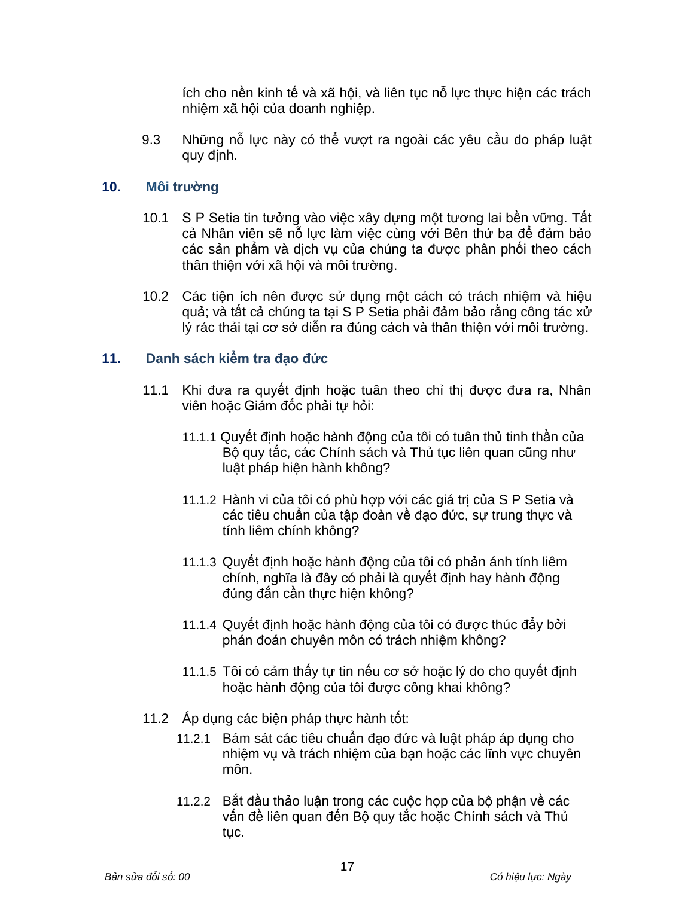ích cho nền kinh tế và xã hội, và liên tục nỗ lực thực hiện các trách nhiệm xã hội của doanh nghiệp.

9.3 Những nỗ lực này có thể vượt ra ngoài các yêu cầu do pháp luật quy định.

#### **10. Môi trường**

- 10.1 S P Setia tin tưởng vào việc xây dựng một tương lai bền vững. Tất cả Nhân viên sẽ nỗ lực làm việc cùng với Bên thứ ba để đảm bảo các sản phẩm và dịch vụ của chúng ta được phân phối theo cách thân thiện với xã hội và môi trường.
- 10.2 Các tiện ích nên được sử dụng một cách có trách nhiệm và hiệu quả; và tất cả chúng ta tại S P Setia phải đảm bảo rằng công tác xử lý rác thải tại cơ sở diễn ra đúng cách và thân thiện với môi trường.

#### **11. Danh sách kiểm tra đạo đức**

- 11.1 Khi đưa ra quyết định hoặc tuân theo chỉ thị được đưa ra, Nhân viên hoặc Giám đốc phải tự hỏi:
	- 11.1.1 Quyết định hoặc hành động của tôi có tuân thủ tinh thần của Bộ quy tắc, các Chính sách và Thủ tục liên quan cũng như luật pháp hiện hành không?
	- 11.1.2 Hành vi của tôi có phù hợp với các giá trị của S P Setia và các tiêu chuẩn của tập đoàn về đạo đức, sự trung thực và tính liêm chính không?
	- 11.1.3 Quyết định hoặc hành động của tôi có phản ánh tính liêm chính, nghĩa là đây có phải là quyết định hay hành động đúng đắn cần thực hiện không?
	- 11.1.4 Quyết định hoặc hành động của tôi có được thúc đẩy bởi phán đoán chuyên môn có trách nhiệm không?
	- 11.1.5 Tôi có cảm thấy tự tin nếu cơ sở hoặc lý do cho quyết định hoặc hành động của tôi được công khai không?
- 11.2 Áp dụng các biện pháp thực hành tốt:
	- 11.2.1 Bám sát các tiêu chuẩn đạo đức và luật pháp áp dụng cho nhiệm vụ và trách nhiệm của bạn hoặc các lĩnh vực chuyên môn.
	- 11.2.2 Bắt đầu thảo luận trong các cuộc họp của bộ phận về các vấn đề liên quan đến Bộ quy tắc hoặc Chính sách và Thủ tuc.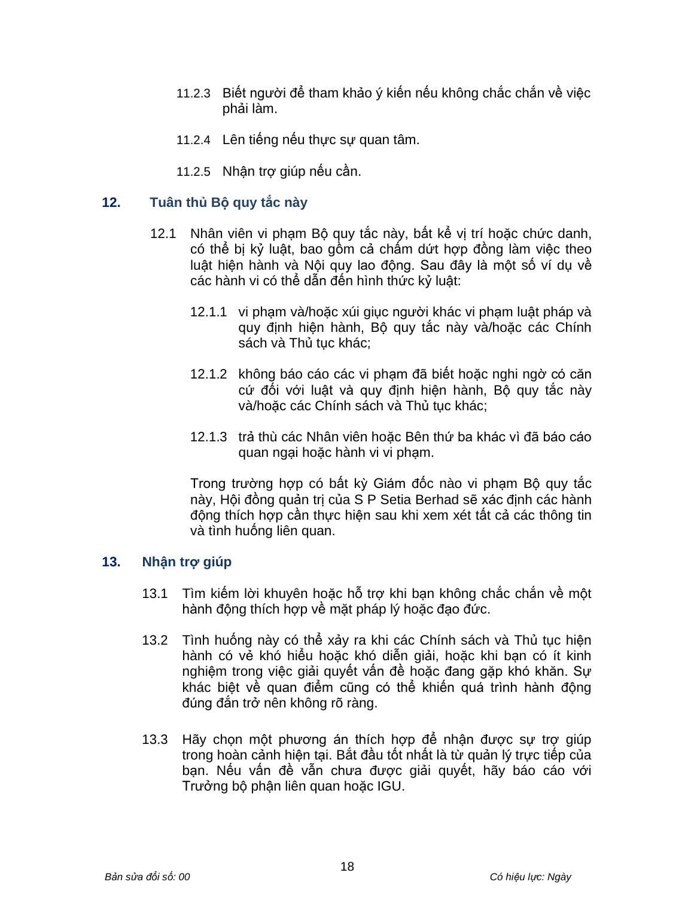- 11.2.3 Biết người để tham khảo ý kiến nếu không chắc chắn về việc phải làm.
- 11.2.4 Lên tiếng nếu thực sự quan tâm.
- 11.2.5 Nhận trợ giúp nếu cần.

#### **12. Tuân thủ Bộ quy tắc này**

- 12.1 Nhân viên vi phạm Bộ quy tắc này, bất kể vị trí hoặc chức danh, có thể bị kỷ luật, bao gồm cả chấm dứt hợp đồng làm việc theo luật hiện hành và Nội quy lao động. Sau đây là một số ví dụ về các hành vi có thể dẫn đến hình thức kỷ luật:
	- 12.1.1 vi phạm và/hoặc xúi giục người khác vi phạm luật pháp và quy định hiện hành, Bộ quy tắc này và/hoặc các Chính sách và Thủ tục khác;
	- 12.1.2 không báo cáo các vi phạm đã biết hoặc nghi ngờ có căn cứ đối với luật và quy định hiện hành, Bộ quy tắc này và/hoặc các Chính sách và Thủ tục khác;
	- 12.1.3 trả thù các Nhân viên hoặc Bên thứ ba khác vì đã báo cáo quan ngại hoặc hành vi vi phạm.

Trong trường hợp có bất kỳ Giám đốc nào vi phạm Bộ quy tắc này, Hội đồng quản trị của S P Setia Berhad sẽ xác định các hành động thích hợp cần thực hiện sau khi xem xét tất cả các thông tin và tình huống liên quan.

#### **13. Nhận trợ giúp**

- 13.1 Tìm kiếm lời khuyên hoặc hỗ trợ khi bạn không chắc chắn về một hành động thích hợp về mặt pháp lý hoặc đạo đức.
- 13.2 Tình huống này có thể xảy ra khi các Chính sách và Thủ tục hiện hành có vẻ khó hiểu hoặc khó diễn giải, hoặc khi bạn có ít kinh nghiệm trong việc giải quyết vấn đề hoặc đang gặp khó khăn. Sự khác biệt về quan điểm cũng có thể khiến quá trình hành động đúng đắn trở nên không rõ ràng.
- 13.3 Hãy chọn một phương án thích hợp để nhận được sự trợ giúp trong hoàn cảnh hiện tại. Bắt đầu tốt nhất là từ quản lý trực tiếp của bạn. Nếu vấn đề vẫn chưa được giải quyết, hãy báo cáo với Trưởng bộ phận liên quan hoặc IGU.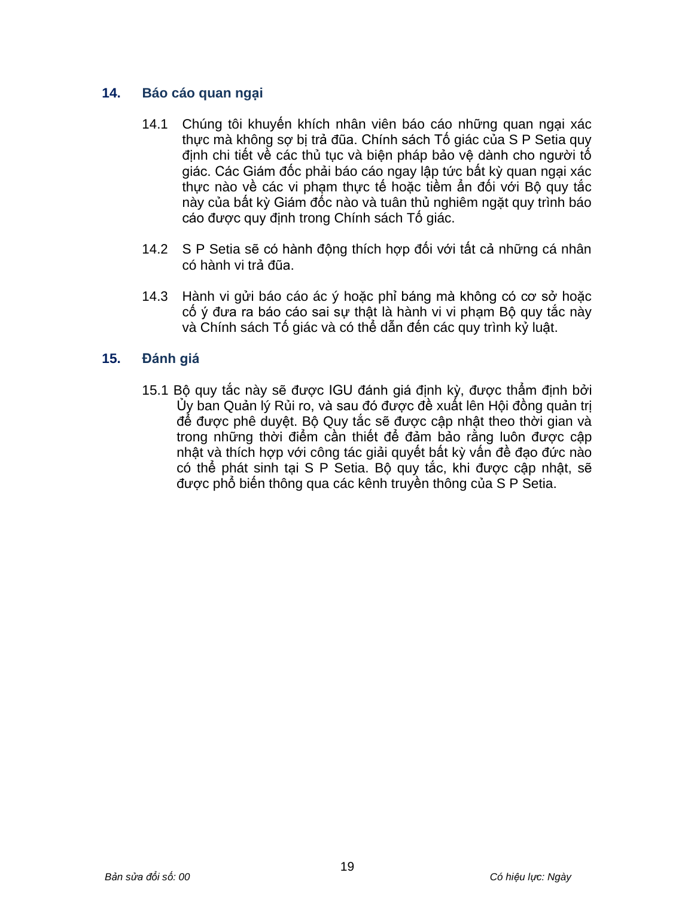# **14. Báo cáo quan ngại**

- 14.1 Chúng tôi khuyến khích nhân viên báo cáo những quan ngại xác thực mà không sợ bị trả đũa. Chính sách Tố giác của S P Setia quy định chi tiết về các thủ tục và biện pháp bảo vệ dành cho người tố giác. Các Giám đốc phải báo cáo ngay lập tức bất kỳ quan ngại xác thực nào về các vi phạm thực tế hoặc tiềm ẩn đối với Bộ quy tắc này của bất kỳ Giám đốc nào và tuân thủ nghiêm ngặt quy trình báo cáo được quy định trong Chính sách Tố giác.
- 14.2 S P Setia sẽ có hành động thích hợp đối với tất cả những cá nhân có hành vi trả đũa.
- 14.3 Hành vi gửi báo cáo ác ý hoặc phỉ báng mà không có cơ sở hoặc cố ý đưa ra báo cáo sai sự thật là hành vi vi phạm Bộ quy tắc này và Chính sách Tố giác và có thể dẫn đến các quy trình kỷ luật.

## **15. Đánh giá**

15.1 Bộ quy tắc này sẽ được IGU đánh giá định kỳ, được thẩm định bởi Ủy ban Quản lý Rủi ro, và sau đó được đề xuất lên Hội đồng quản trị để được phê duyệt. Bộ Quy tắc sẽ được cập nhật theo thời gian và trong những thời điểm cần thiết để đảm bảo rằng luôn được cập nhật và thích hợp với công tác giải quyết bất kỳ vấn đề đạo đức nào có thể phát sinh tại S P Setia. Bộ quy tắc, khi được cập nhật, sẽ được phổ biến thông qua các kênh truyền thông của S P Setia.